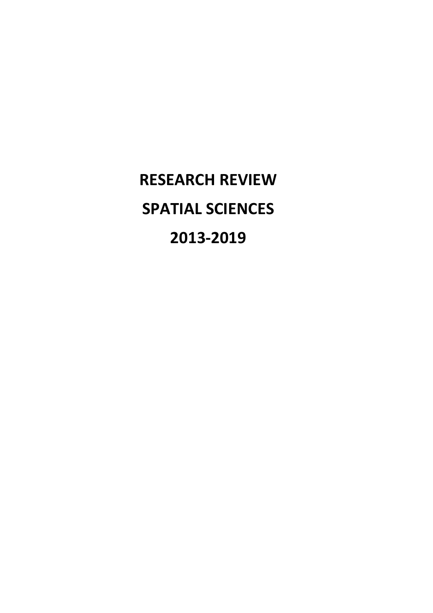**RESEARCH REVIEW SPATIAL SCIENCES 2013-2019**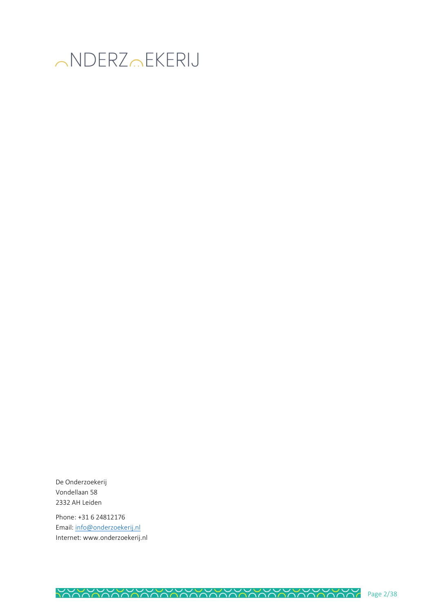

De Onderzoekerij Vondellaan 58 2332 AH Leiden

Phone: +31 6 24812176 Email[: info@onderzoekerij.nl](mailto:info@onderzoekerij.nl) Internet: www.onderzoekerij.nl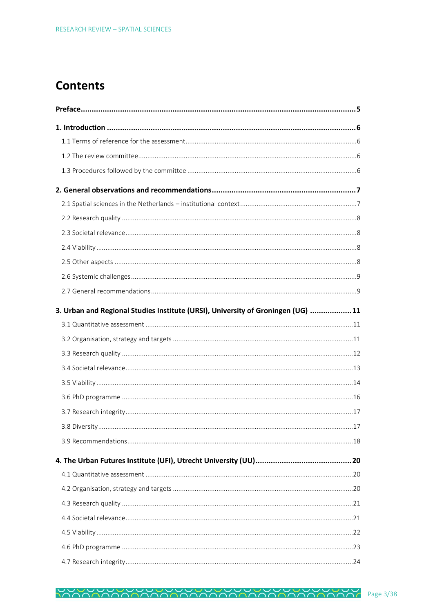## **Contents**

| 3. Urban and Regional Studies Institute (URSI), University of Groningen (UG)  11 |  |
|----------------------------------------------------------------------------------|--|
|                                                                                  |  |
|                                                                                  |  |
|                                                                                  |  |
|                                                                                  |  |
|                                                                                  |  |
|                                                                                  |  |
|                                                                                  |  |
|                                                                                  |  |
|                                                                                  |  |
|                                                                                  |  |
|                                                                                  |  |
|                                                                                  |  |
|                                                                                  |  |
|                                                                                  |  |
|                                                                                  |  |
|                                                                                  |  |
|                                                                                  |  |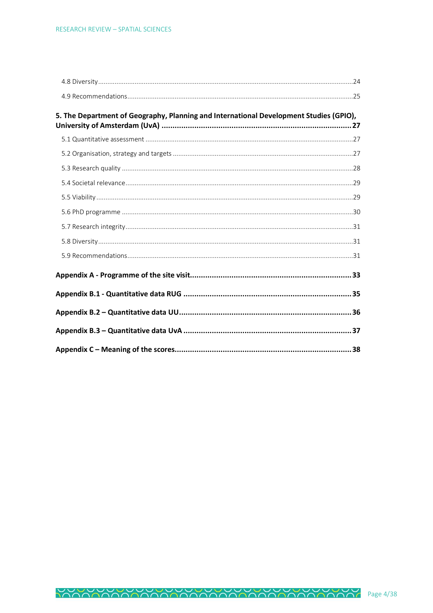| 5. The Department of Geography, Planning and International Development Studies (GPIO), |  |
|----------------------------------------------------------------------------------------|--|
|                                                                                        |  |
|                                                                                        |  |
|                                                                                        |  |
|                                                                                        |  |
|                                                                                        |  |
|                                                                                        |  |
|                                                                                        |  |
|                                                                                        |  |
|                                                                                        |  |
|                                                                                        |  |
|                                                                                        |  |
|                                                                                        |  |
|                                                                                        |  |
|                                                                                        |  |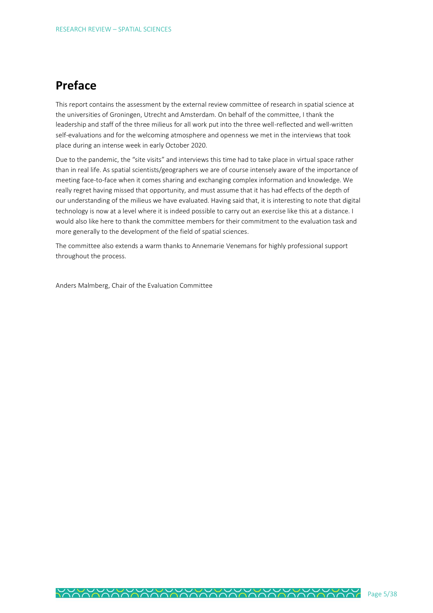## <span id="page-4-0"></span>**Preface**

This report contains the assessment by the external review committee of research in spatial science at the universities of Groningen, Utrecht and Amsterdam. On behalf of the committee, I thank the leadership and staff of the three milieus for all work put into the three well-reflected and well-written self-evaluations and for the welcoming atmosphere and openness we met in the interviews that took place during an intense week in early October 2020.

Due to the pandemic, the "site visits" and interviews this time had to take place in virtual space rather than in real life. As spatial scientists/geographers we are of course intensely aware of the importance of meeting face-to-face when it comes sharing and exchanging complex information and knowledge. We really regret having missed that opportunity, and must assume that it has had effects of the depth of our understanding of the milieus we have evaluated. Having said that, it is interesting to note that digital technology is now at a level where it is indeed possible to carry out an exercise like this at a distance. I would also like here to thank the committee members for their commitment to the evaluation task and more generally to the development of the field of spatial sciences.

The committee also extends a warm thanks to Annemarie Venemans for highly professional support throughout the process.

Anders Malmberg, Chair of the Evaluation Committee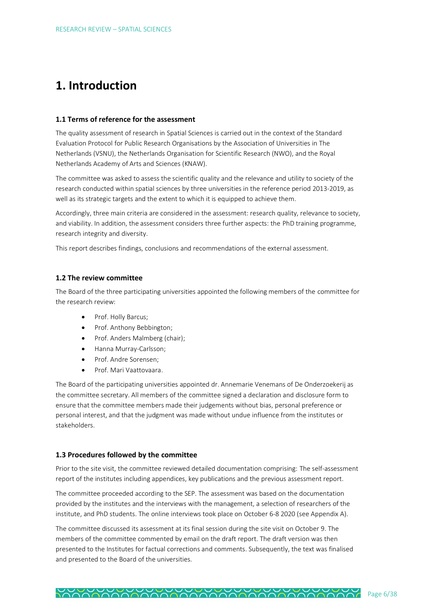## <span id="page-5-0"></span>**1. Introduction**

## <span id="page-5-1"></span>**1.1 Terms of reference for the assessment**

The quality assessment of research in Spatial Sciences is carried out in the context of the Standard Evaluation Protocol for Public Research Organisations by the Association of Universities in The Netherlands (VSNU), the Netherlands Organisation for Scientific Research (NWO), and the Royal Netherlands Academy of Arts and Sciences (KNAW).

The committee was asked to assess the scientific quality and the relevance and utility to society of the research conducted within spatial sciences by three universities in the reference period 2013-2019, as well as its strategic targets and the extent to which it is equipped to achieve them.

Accordingly, three main criteria are considered in the assessment: research quality, relevance to society, and viability. In addition, the assessment considers three further aspects: the PhD training programme, research integrity and diversity.

This report describes findings, conclusions and recommendations of the external assessment.

## <span id="page-5-2"></span>**1.2 The review committee**

The Board of the three participating universities appointed the following members of the committee for the research review:

- Prof. Holly Barcus;
- Prof. Anthony Bebbington;
- Prof. Anders Malmberg (chair);
- Hanna Murray-Carlsson;
- Prof. Andre Sorensen;
- Prof. Mari Vaattovaara.

The Board of the participating universities appointed dr. Annemarie Venemans of De Onderzoekerij as the committee secretary. All members of the committee signed a declaration and disclosure form to ensure that the committee members made their judgements without bias, personal preference or personal interest, and that the judgment was made without undue influence from the institutes or stakeholders.

## <span id="page-5-3"></span>**1.3 Procedures followed by the committee**

Prior to the site visit, the committee reviewed detailed documentation comprising: The self-assessment report of the institutes including appendices, key publications and the previous assessment report.

The committee proceeded according to the SEP. The assessment was based on the documentation provided by the institutes and the interviews with the management, a selection of researchers of the institute, and PhD students. The online interviews took place on October 6-8 2020 (see Appendix A).

The committee discussed its assessment at its final session during the site visit on October 9. The members of the committee commented by email on the draft report. The draft version was then presented to the Institutes for factual corrections and comments. Subsequently, the text was finalised and presented to the Board of the universities.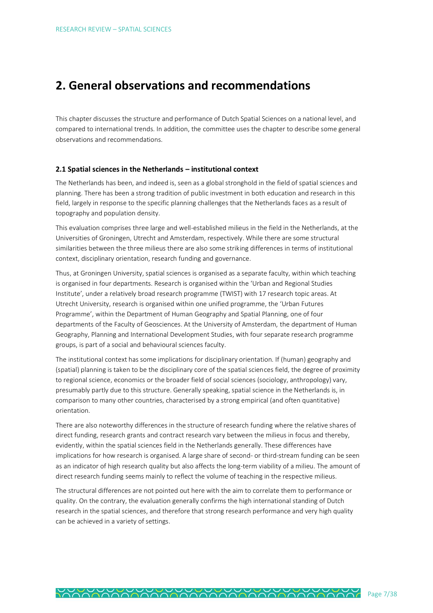## <span id="page-6-0"></span>**2. General observations and recommendations**

This chapter discusses the structure and performance of Dutch Spatial Sciences on a national level, and compared to international trends. In addition, the committee uses the chapter to describe some general observations and recommendations.

## <span id="page-6-1"></span>**2.1 Spatial sciences in the Netherlands – institutional context**

The Netherlands has been, and indeed is, seen as a global stronghold in the field of spatial sciences and planning. There has been a strong tradition of public investment in both education and research in this field, largely in response to the specific planning challenges that the Netherlands faces as a result of topography and population density.

This evaluation comprises three large and well-established milieus in the field in the Netherlands, at the Universities of Groningen, Utrecht and Amsterdam, respectively. While there are some structural similarities between the three milieus there are also some striking differences in terms of institutional context, disciplinary orientation, research funding and governance.

Thus, at Groningen University, spatial sciences is organised as a separate faculty, within which teaching is organised in four departments. Research is organised within the 'Urban and Regional Studies Institute', under a relatively broad research programme (TWIST) with 17 research topic areas. At Utrecht University, research is organised within one unified programme, the 'Urban Futures Programme', within the Department of Human Geography and Spatial Planning, one of four departments of the Faculty of Geosciences. At the University of Amsterdam, the department of Human Geography, Planning and International Development Studies, with four separate research programme groups, is part of a social and behavioural sciences faculty.

The institutional context has some implications for disciplinary orientation. If (human) geography and (spatial) planning is taken to be the disciplinary core of the spatial sciences field, the degree of proximity to regional science, economics or the broader field of social sciences (sociology, anthropology) vary, presumably partly due to this structure. Generally speaking, spatial science in the Netherlands is, in comparison to many other countries, characterised by a strong empirical (and often quantitative) orientation.

There are also noteworthy differences in the structure of research funding where the relative shares of direct funding, research grants and contract research vary between the milieus in focus and thereby, evidently, within the spatial sciences field in the Netherlands generally. These differences have implications for how research is organised. A large share of second- or third-stream funding can be seen as an indicator of high research quality but also affects the long-term viability of a milieu. The amount of direct research funding seems mainly to reflect the volume of teaching in the respective milieus.

The structural differences are not pointed out here with the aim to correlate them to performance or quality. On the contrary, the evaluation generally confirms the high international standing of Dutch research in the spatial sciences, and therefore that strong research performance and very high quality can be achieved in a variety of settings.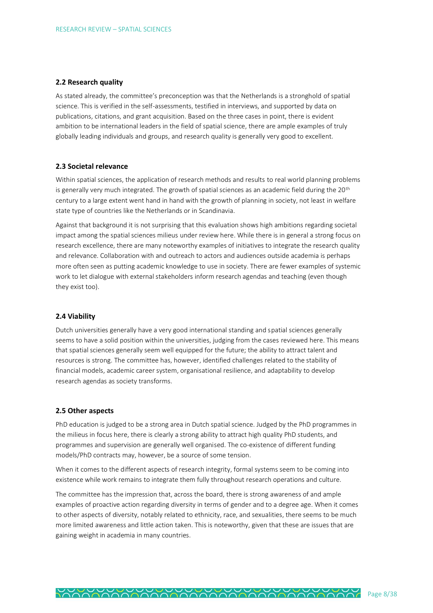### <span id="page-7-0"></span>**2.2 Research quality**

As stated already, the committee's preconception was that the Netherlands is a stronghold of spatial science. This is verified in the self-assessments, testified in interviews, and supported by data on publications, citations, and grant acquisition. Based on the three cases in point, there is evident ambition to be international leaders in the field of spatial science, there are ample examples of truly globally leading individuals and groups, and research quality is generally very good to excellent.

#### <span id="page-7-1"></span>**2.3 Societal relevance**

Within spatial sciences, the application of research methods and results to real world planning problems is generally very much integrated. The growth of spatial sciences as an academic field during the 20<sup>th</sup> century to a large extent went hand in hand with the growth of planning in society, not least in welfare state type of countries like the Netherlands or in Scandinavia.

Against that background it is not surprising that this evaluation shows high ambitions regarding societal impact among the spatial sciences milieus under review here. While there is in general a strong focus on research excellence, there are many noteworthy examples of initiatives to integrate the research quality and relevance. Collaboration with and outreach to actors and audiences outside academia is perhaps more often seen as putting academic knowledge to use in society. There are fewer examples of systemic work to let dialogue with external stakeholders inform research agendas and teaching (even though they exist too).

## <span id="page-7-2"></span>**2.4 Viability**

Dutch universities generally have a very good international standing and spatial sciences generally seems to have a solid position within the universities, judging from the cases reviewed here. This means that spatial sciences generally seem well equipped for the future; the ability to attract talent and resources is strong. The committee has, however, identified challenges related to the stability of financial models, academic career system, organisational resilience, and adaptability to develop research agendas as society transforms.

## <span id="page-7-3"></span>**2.5 Other aspects**

PhD education is judged to be a strong area in Dutch spatial science. Judged by the PhD programmes in the milieus in focus here, there is clearly a strong ability to attract high quality PhD students, and programmes and supervision are generally well organised. The co-existence of different funding models/PhD contracts may, however, be a source of some tension.

When it comes to the different aspects of research integrity, formal systems seem to be coming into existence while work remains to integrate them fully throughout research operations and culture.

The committee has the impression that, across the board, there is strong awareness of and ample examples of proactive action regarding diversity in terms of gender and to a degree age. When it comes to other aspects of diversity, notably related to ethnicity, race, and sexualities, there seems to be much more limited awareness and little action taken. This is noteworthy, given that these are issues that are gaining weight in academia in many countries.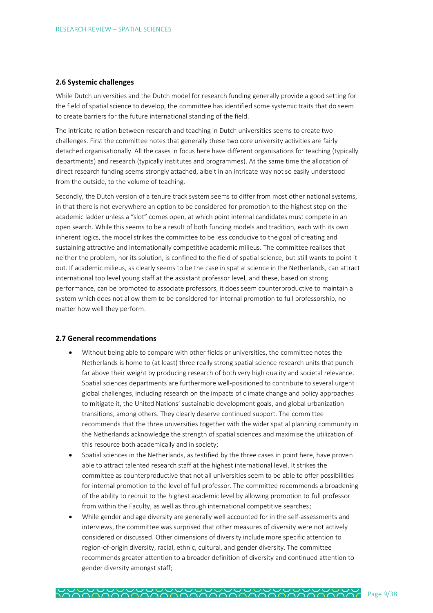#### <span id="page-8-0"></span>**2.6 Systemic challenges**

While Dutch universities and the Dutch model for research funding generally provide a good setting for the field of spatial science to develop, the committee has identified some systemic traits that do seem to create barriers for the future international standing of the field.

The intricate relation between research and teaching in Dutch universities seems to create two challenges. First the committee notes that generally these two core university activities are fairly detached organisationally. All the cases in focus here have different organisations for teaching (typically departments) and research (typically institutes and programmes). At the same time the allocation of direct research funding seems strongly attached, albeit in an intricate way not so easily understood from the outside, to the volume of teaching.

Secondly, the Dutch version of a tenure track system seems to differ from most other national systems, in that there is not everywhere an option to be considered for promotion to the highest step on the academic ladder unless a "slot" comes open, at which point internal candidates must compete in an open search. While this seems to be a result of both funding models and tradition, each with its own inherent logics, the model strikes the committee to be less conducive to the goal of creating and sustaining attractive and internationally competitive academic milieus. The committee realises that neither the problem, nor its solution, is confined to the field of spatial science, but still wants to point it out. If academic milieus, as clearly seems to be the case in spatial science in the Netherlands, can attract international top level young staff at the assistant professor level, and these, based on strong performance, can be promoted to associate professors, it does seem counterproductive to maintain a system which does not allow them to be considered for internal promotion to full professorship, no matter how well they perform.

#### <span id="page-8-1"></span>**2.7 General recommendations**

- Without being able to compare with other fields or universities, the committee notes the Netherlands is home to (at least) three really strong spatial science research units that punch far above their weight by producing research of both very high quality and societal relevance. Spatial sciences departments are furthermore well-positioned to contribute to several urgent global challenges, including research on the impacts of climate change and policy approaches to mitigate it, the United Nations' sustainable development goals, and global urbanization transitions, among others. They clearly deserve continued support. The committee recommends that the three universities together with the wider spatial planning community in the Netherlands acknowledge the strength of spatial sciences and maximise the utilization of this resource both academically and in society;
- Spatial sciences in the Netherlands, as testified by the three cases in point here, have proven able to attract talented research staff at the highest international level. It strikes the committee as counterproductive that not all universities seem to be able to offer possibilities for internal promotion to the level of full professor. The committee recommends a broadening of the ability to recruit to the highest academic level by allowing promotion to full professor from within the Faculty, as well as through international competitive searches;
- While gender and age diversity are generally well accounted for in the self-assessments and interviews, the committee was surprised that other measures of diversity were not actively considered or discussed. Other dimensions of diversity include more specific attention to region-of-origin diversity, racial, ethnic, cultural, and gender diversity. The committee recommends greater attention to a broader definition of diversity and continued attention to gender diversity amongst staff;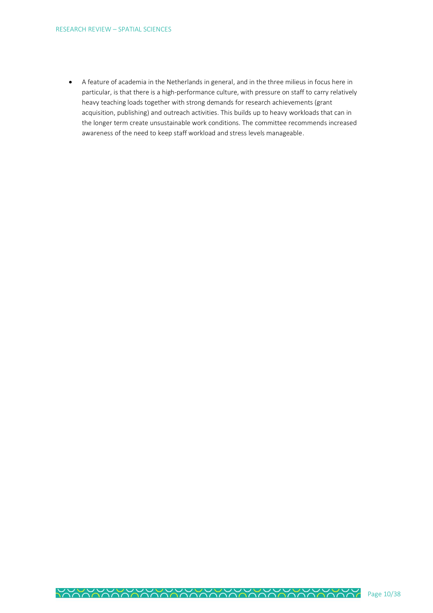• A feature of academia in the Netherlands in general, and in the three milieus in focus here in particular, is that there is a high-performance culture, with pressure on staff to carry relatively heavy teaching loads together with strong demands for research achievements (grant acquisition, publishing) and outreach activities. This builds up to heavy workloads that can in the longer term create unsustainable work conditions. The committee recommends increased awareness of the need to keep staff workload and stress levels manageable.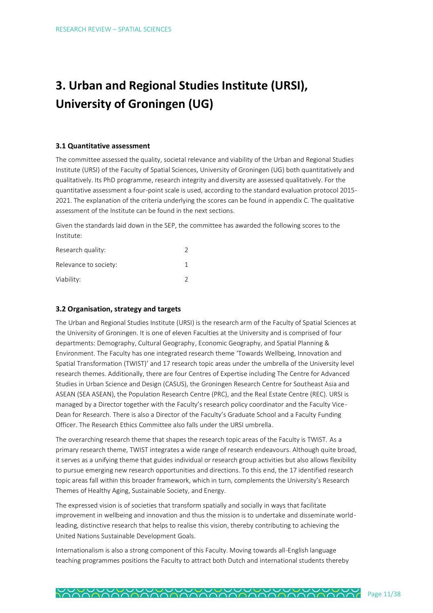# <span id="page-10-0"></span>**3. Urban and Regional Studies Institute (URSI), University of Groningen (UG)**

## <span id="page-10-1"></span>**3.1 Quantitative assessment**

The committee assessed the quality, societal relevance and viability of the Urban and Regional Studies Institute (URSI) of the Faculty of Spatial Sciences, University of Groningen (UG) both quantitatively and qualitatively. Its PhD programme, research integrity and diversity are assessed qualitatively. For the quantitative assessment a four-point scale is used, according to the standard evaluation protocol 2015- 2021. The explanation of the criteria underlying the scores can be found in appendix C. The qualitative assessment of the Institute can be found in the next sections.

Given the standards laid down in the SEP, the committee has awarded the following scores to the Institute:

| Research quality:     |  |
|-----------------------|--|
| Relevance to society: |  |
| Viability:            |  |

## <span id="page-10-2"></span>**3.2 Organisation, strategy and targets**

The Urban and Regional Studies Institute (URSI) is the research arm of the Faculty of Spatial Sciences at the University of Groningen. It is one of eleven Faculties at the University and is comprised of four departments: Demography, Cultural Geography, Economic Geography, and Spatial Planning & Environment. The Faculty has one integrated research theme 'Towards Wellbeing, Innovation and Spatial Transformation (TWIST)' and 17 research topic areas under the umbrella of the University level research themes. Additionally, there are four Centres of Expertise including The Centre for Advanced Studies in Urban Science and Design (CASUS), the Groningen Research Centre for Southeast Asia and ASEAN (SEA ASEAN), the Population Research Centre (PRC), and the Real Estate Centre (REC). URSI is managed by a Director together with the Faculty's research policy coordinator and the Faculty Vice-Dean for Research. There is also a Director of the Faculty's Graduate School and a Faculty Funding Officer. The Research Ethics Committee also falls under the URSI umbrella.

The overarching research theme that shapes the research topic areas of the Faculty is TWIST. As a primary research theme, TWIST integrates a wide range of research endeavours. Although quite broad, it serves as a unifying theme that guides individual or research group activities but also allows flexibility to pursue emerging new research opportunities and directions. To this end, the 17 identified research topic areas fall within this broader framework, which in turn, complements the University's Research Themes of Healthy Aging, Sustainable Society, and Energy.

The expressed vision is of societies that transform spatially and socially in ways that facilitate improvement in wellbeing and innovation and thus the mission is to undertake and disseminate worldleading, distinctive research that helps to realise this vision, thereby contributing to achieving the United Nations Sustainable Development Goals.

Internationalism is also a strong component of this Faculty. Moving towards all-English language teaching programmes positions the Faculty to attract both Dutch and international students thereby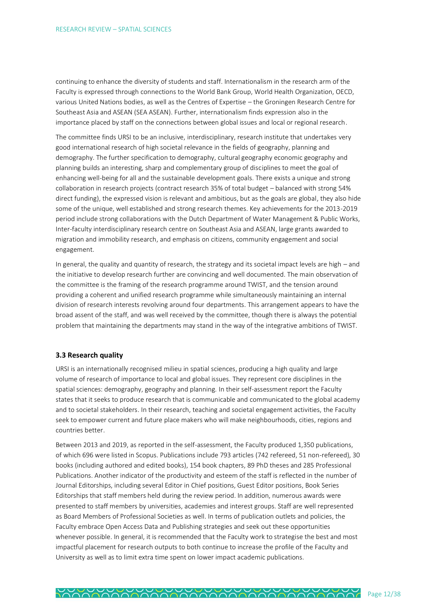continuing to enhance the diversity of students and staff. Internationalism in the research arm of the Faculty is expressed through connections to the World Bank Group, World Health Organization, OECD, various United Nations bodies, as well as the Centres of Expertise – the Groningen Research Centre for Southeast Asia and ASEAN (SEA ASEAN). Further, internationalism finds expression also in the importance placed by staff on the connections between global issues and local or regional research.

The committee finds URSI to be an inclusive, interdisciplinary, research institute that undertakes very good international research of high societal relevance in the fields of geography, planning and demography. The further specification to demography, cultural geography economic geography and planning builds an interesting, sharp and complementary group of disciplines to meet the goal of enhancing well-being for all and the sustainable development goals. There exists a unique and strong collaboration in research projects (contract research 35% of total budget – balanced with strong 54% direct funding), the expressed vision is relevant and ambitious, but as the goals are global, they also hide some of the unique, well established and strong research themes. Key achievements for the 2013-2019 period include strong collaborations with the Dutch Department of Water Management & Public Works, Inter-faculty interdisciplinary research centre on Southeast Asia and ASEAN, large grants awarded to migration and immobility research, and emphasis on citizens, community engagement and social engagement.

In general, the quality and quantity of research, the strategy and its societal impact levels are high – and the initiative to develop research further are convincing and well documented. The main observation of the committee is the framing of the research programme around TWIST, and the tension around providing a coherent and unified research programme while simultaneously maintaining an internal division of research interests revolving around four departments. This arrangement appears to have the broad assent of the staff, and was well received by the committee, though there is always the potential problem that maintaining the departments may stand in the way of the integrative ambitions of TWIST.

## <span id="page-11-0"></span>**3.3 Research quality**

URSI is an internationally recognised milieu in spatial sciences, producing a high quality and large volume of research of importance to local and global issues. They represent core disciplines in the spatial sciences: demography, geography and planning. In their self-assessment report the Faculty states that it seeks to produce research that is communicable and communicated to the global academy and to societal stakeholders. In their research, teaching and societal engagement activities, the Faculty seek to empower current and future place makers who will make neighbourhoods, cities, regions and countries better.

Between 2013 and 2019, as reported in the self-assessment, the Faculty produced 1,350 publications, of which 696 were listed in Scopus. Publications include 793 articles (742 refereed, 51 non-refereed), 30 books (including authored and edited books), 154 book chapters, 89 PhD theses and 285 Professional Publications. Another indicator of the productivity and esteem of the staff is reflected in the number of Journal Editorships, including several Editor in Chief positions, Guest Editor positions, Book Series Editorships that staff members held during the review period. In addition, numerous awards were presented to staff members by universities, academies and interest groups. Staff are well represented as Board Members of Professional Societies as well. In terms of publication outlets and policies, the Faculty embrace Open Access Data and Publishing strategies and seek out these opportunities whenever possible. In general, it is recommended that the Faculty work to strategise the best and most impactful placement for research outputs to both continue to increase the profile of the Faculty and University as well as to limit extra time spent on lower impact academic publications.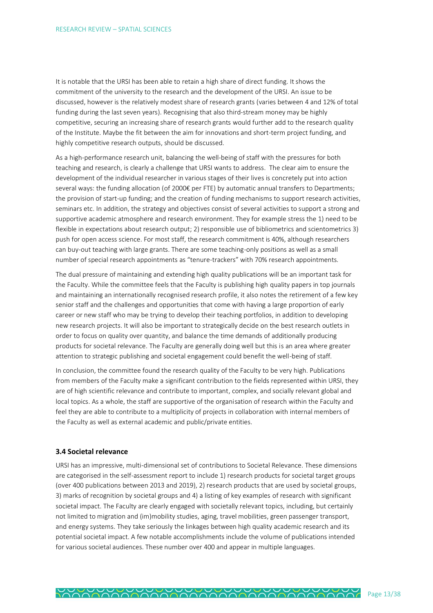It is notable that the URSI has been able to retain a high share of direct funding. It shows the commitment of the university to the research and the development of the URSI. An issue to be discussed, however is the relatively modest share of research grants (varies between 4 and 12% of total funding during the last seven years). Recognising that also third-stream money may be highly competitive, securing an increasing share of research grants would further add to the research quality of the Institute. Maybe the fit between the aim for innovations and short-term project funding, and highly competitive research outputs, should be discussed.

As a high-performance research unit, balancing the well-being of staff with the pressures for both teaching and research, is clearly a challenge that URSI wants to address. The clear aim to ensure the development of the individual researcher in various stages of their lives is concretely put into action several ways: the funding allocation (of 2000€ per FTE) by automatic annual transfers to Departments; the provision of start-up funding; and the creation of funding mechanisms to support research activities, seminars etc. In addition, the strategy and objectives consist of several activities to support a strong and supportive academic atmosphere and research environment. They for example stress the 1) need to be flexible in expectations about research output; 2) responsible use of bibliometrics and scientometrics 3) push for open access science. For most staff, the research commitment is 40%, although researchers can buy-out teaching with large grants. There are some teaching-only positions as well as a small number of special research appointments as "tenure-trackers" with 70% research appointments.

The dual pressure of maintaining and extending high quality publications will be an important task for the Faculty. While the committee feels that the Faculty is publishing high quality papers in top journals and maintaining an internationally recognised research profile, it also notes the retirement of a few key senior staff and the challenges and opportunities that come with having a large proportion of early career or new staff who may be trying to develop their teaching portfolios, in addition to developing new research projects. It will also be important to strategically decide on the best research outlets in order to focus on quality over quantity, and balance the time demands of additionally producing products for societal relevance. The Faculty are generally doing well but this is an area where greater attention to strategic publishing and societal engagement could benefit the well-being of staff.

In conclusion, the committee found the research quality of the Faculty to be very high. Publications from members of the Faculty make a significant contribution to the fields represented within URSI, they are of high scientific relevance and contribute to important, complex, and socially relevant global and local topics. As a whole, the staff are supportive of the organisation of research within the Faculty and feel they are able to contribute to a multiplicity of projects in collaboration with internal members of the Faculty as well as external academic and public/private entities.

## <span id="page-12-0"></span>**3.4 Societal relevance**

URSI has an impressive, multi-dimensional set of contributions to Societal Relevance. These dimensions are categorised in the self-assessment report to include 1) research products for societal target groups (over 400 publications between 2013 and 2019), 2) research products that are used by societal groups, 3) marks of recognition by societal groups and 4) a listing of key examples of research with significant societal impact. The Faculty are clearly engaged with societally relevant topics, including, but certainly not limited to migration and (im)mobility studies, aging, travel mobilities, green passenger transport, and energy systems. They take seriously the linkages between high quality academic research and its potential societal impact. A few notable accomplishments include the volume of publications intended for various societal audiences. These number over 400 and appear in multiple languages.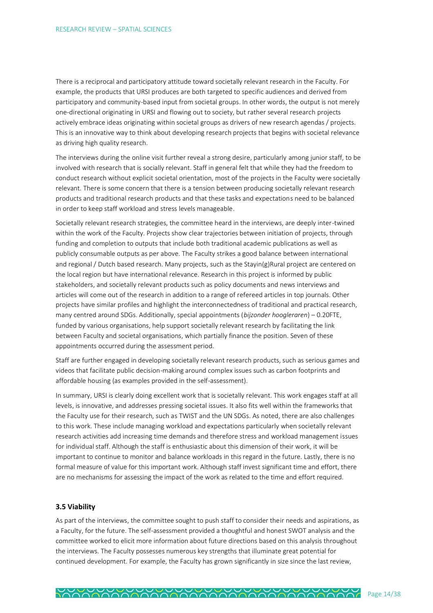There is a reciprocal and participatory attitude toward societally relevant research in the Faculty. For example, the products that URSI produces are both targeted to specific audiences and derived from participatory and community-based input from societal groups. In other words, the output is not merely one-directional originating in URSI and flowing out to society, but rather several research projects actively embrace ideas originating within societal groups as drivers of new research agendas / projects. This is an innovative way to think about developing research projects that begins with societal relevance as driving high quality research.

The interviews during the online visit further reveal a strong desire, particularly among junior staff, to be involved with research that is socially relevant. Staff in general felt that while they had the freedom to conduct research without explicit societal orientation, most of the projects in the Faculty were societally relevant. There is some concern that there is a tension between producing societally relevant research products and traditional research products and that these tasks and expectations need to be balanced in order to keep staff workload and stress levels manageable.

Societally relevant research strategies, the committee heard in the interviews, are deeply inter-twined within the work of the Faculty. Projects show clear trajectories between initiation of projects, through funding and completion to outputs that include both traditional academic publications as well as publicly consumable outputs as per above. The Faculty strikes a good balance between international and regional / Dutch based research. Many projects, such as the Stayin(g)Rural project are centered on the local region but have international relevance. Research in this project is informed by public stakeholders, and societally relevant products such as policy documents and news interviews and articles will come out of the research in addition to a range of refereed articles in top journals. Other projects have similar profiles and highlight the interconnectedness of traditional and practical research, many centred around SDGs. Additionally, special appointments (*bijzonder hoogleraren*) – 0.20FTE, funded by various organisations, help support societally relevant research by facilitating the link between Faculty and societal organisations, which partially finance the position. Seven of these appointments occurred during the assessment period.

Staff are further engaged in developing societally relevant research products, such as serious games and videos that facilitate public decision-making around complex issues such as carbon footprints and affordable housing (as examples provided in the self-assessment).

In summary, URSI is clearly doing excellent work that is societally relevant. This work engages staff at all levels, is innovative, and addresses pressing societal issues. It also fits well within the frameworks that the Faculty use for their research, such as TWIST and the UN SDGs. As noted, there are also challenges to this work. These include managing workload and expectations particularly when societally relevant research activities add increasing time demands and therefore stress and workload management issues for individual staff. Although the staff is enthusiastic about this dimension of their work, it will be important to continue to monitor and balance workloads in this regard in the future. Lastly, there is no formal measure of value for this important work. Although staff invest significant time and effort, there are no mechanisms for assessing the impact of the work as related to the time and effort required.

#### <span id="page-13-0"></span>**3.5 Viability**

As part of the interviews, the committee sought to push staff to consider their needs and aspirations, as a Faculty, for the future. The self-assessment provided a thoughtful and honest SWOT analysis and the committee worked to elicit more information about future directions based on this analysis throughout the interviews. The Faculty possesses numerous key strengths that illuminate great potential for continued development. For example, the Faculty has grown significantly in size since the last review,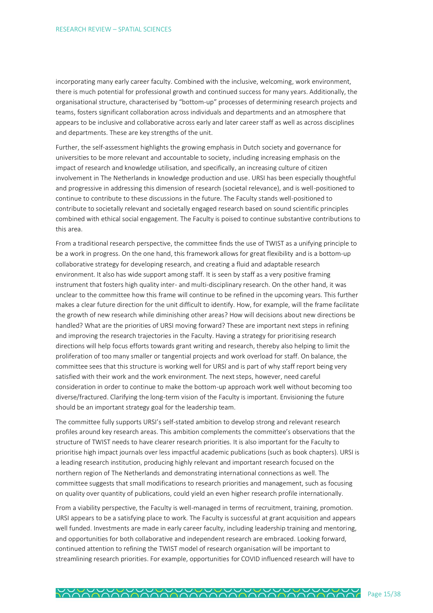incorporating many early career faculty. Combined with the inclusive, welcoming, work environment, there is much potential for professional growth and continued success for many years. Additionally, the organisational structure, characterised by "bottom-up" processes of determining research projects and teams, fosters significant collaboration across individuals and departments and an atmosphere that appears to be inclusive and collaborative across early and later career staff as well as across disciplines and departments. These are key strengths of the unit.

Further, the self-assessment highlights the growing emphasis in Dutch society and governance for universities to be more relevant and accountable to society, including increasing emphasis on the impact of research and knowledge utilisation, and specifically, an increasing culture of citizen involvement in The Netherlands in knowledge production and use. URSI has been especially thoughtful and progressive in addressing this dimension of research (societal relevance), and is well-positioned to continue to contribute to these discussions in the future. The Faculty stands well-positioned to contribute to societally relevant and societally engaged research based on sound scientific principles combined with ethical social engagement. The Faculty is poised to continue substantive contributions to this area.

From a traditional research perspective, the committee finds the use of TWIST as a unifying principle to be a work in progress. On the one hand, this framework allows for great flexibility and is a bottom-up collaborative strategy for developing research, and creating a fluid and adaptable research environment. It also has wide support among staff. It is seen by staff as a very positive framing instrument that fosters high quality inter- and multi-disciplinary research. On the other hand, it was unclear to the committee how this frame will continue to be refined in the upcoming years. This further makes a clear future direction for the unit difficult to identify. How, for example, will the frame facilitate the growth of new research while diminishing other areas? How will decisions about new directions be handled? What are the priorities of URSI moving forward? These are important next steps in refining and improving the research trajectories in the Faculty. Having a strategy for prioritising research directions will help focus efforts towards grant writing and research, thereby also helping to limit the proliferation of too many smaller or tangential projects and work overload for staff. On balance, the committee sees that this structure is working well for URSI and is part of why staff report being very satisfied with their work and the work environment. The next steps, however, need careful consideration in order to continue to make the bottom-up approach work well without becoming too diverse/fractured. Clarifying the long-term vision of the Faculty is important. Envisioning the future should be an important strategy goal for the leadership team.

The committee fully supports URSI's self-stated ambition to develop strong and relevant research profiles around key research areas. This ambition complements the committee's observations that the structure of TWIST needs to have clearer research priorities. It is also important for the Faculty to prioritise high impact journals over less impactful academic publications (such as book chapters). URSI is a leading research institution, producing highly relevant and important research focused on the northern region of The Netherlands and demonstrating international connections as well. The committee suggests that small modifications to research priorities and management, such as focusing on quality over quantity of publications, could yield an even higher research profile internationally.

From a viability perspective, the Faculty is well-managed in terms of recruitment, training, promotion. URSI appears to be a satisfying place to work. The Faculty is successful at grant acquisition and appears well funded. Investments are made in early career faculty, including leadership training and mentoring, and opportunities for both collaborative and independent research are embraced. Looking forward, continued attention to refining the TWIST model of research organisation will be important to streamlining research priorities. For example, opportunities for COVID influenced research will have to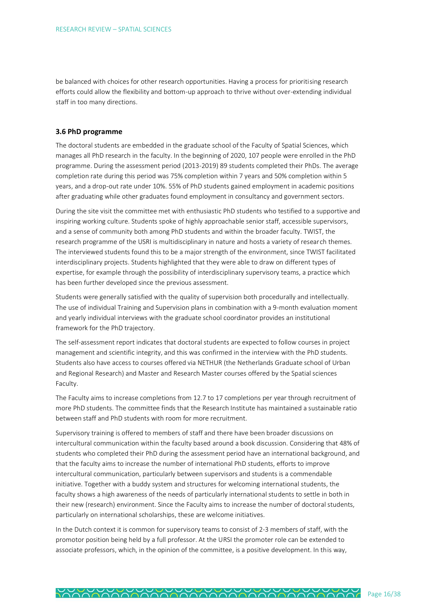be balanced with choices for other research opportunities. Having a process for prioritising research efforts could allow the flexibility and bottom-up approach to thrive without over-extending individual staff in too many directions.

## <span id="page-15-0"></span>**3.6 PhD programme**

The doctoral students are embedded in the graduate school of the Faculty of Spatial Sciences, which manages all PhD research in the faculty. In the beginning of 2020, 107 people were enrolled in the PhD programme. During the assessment period (2013-2019) 89 students completed their PhDs. The average completion rate during this period was 75% completion within 7 years and 50% completion within 5 years, and a drop-out rate under 10%. 55% of PhD students gained employment in academic positions after graduating while other graduates found employment in consultancy and government sectors.

During the site visit the committee met with enthusiastic PhD students who testified to a supportive and inspiring working culture. Students spoke of highly approachable senior staff, accessible supervisors, and a sense of community both among PhD students and within the broader faculty. TWIST, the research programme of the USRI is multidisciplinary in nature and hosts a variety of research themes. The interviewed students found this to be a major strength of the environment, since TWIST facilitated interdisciplinary projects. Students highlighted that they were able to draw on different types of expertise, for example through the possibility of interdisciplinary supervisory teams, a practice which has been further developed since the previous assessment.

Students were generally satisfied with the quality of supervision both procedurally and intellectually. The use of individual Training and Supervision plans in combination with a 9-month evaluation moment and yearly individual interviews with the graduate school coordinator provides an institutional framework for the PhD trajectory.

The self-assessment report indicates that doctoral students are expected to follow courses in project management and scientific integrity, and this was confirmed in the interview with the PhD students. Students also have access to courses offered via NETHUR (the Netherlands Graduate school of Urban and Regional Research) and Master and Research Master courses offered by the Spatial sciences Faculty.

The Faculty aims to increase completions from 12.7 to 17 completions per year through recruitment of more PhD students. The committee finds that the Research Institute has maintained a sustainable ratio between staff and PhD students with room for more recruitment.

Supervisory training is offered to members of staff and there have been broader discussions on intercultural communication within the faculty based around a book discussion. Considering that 48% of students who completed their PhD during the assessment period have an international background, and that the faculty aims to increase the number of international PhD students, efforts to improve intercultural communication, particularly between supervisors and students is a commendable initiative. Together with a buddy system and structures for welcoming international students, the faculty shows a high awareness of the needs of particularly international students to settle in both in their new (research) environment. Since the Faculty aims to increase the number of doctoral students, particularly on international scholarships, these are welcome initiatives.

In the Dutch context it is common for supervisory teams to consist of 2-3 members of staff, with the promotor position being held by a full professor. At the URSI the promoter role can be extended to associate professors, which, in the opinion of the committee, is a positive development. In this way,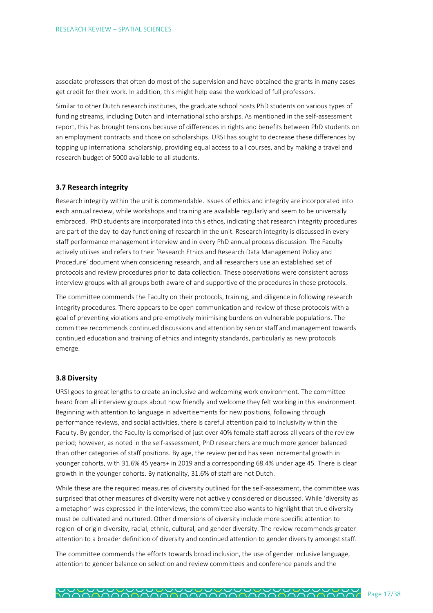associate professors that often do most of the supervision and have obtained the grants in many cases get credit for their work. In addition, this might help ease the workload of full professors.

Similar to other Dutch research institutes, the graduate school hosts PhD students on various types of funding streams, including Dutch and International scholarships. As mentioned in the self-assessment report, this has brought tensions because of differences in rights and benefits between PhD students on an employment contracts and those on scholarships. URSI has sought to decrease these differences by topping up international scholarship, providing equal access to all courses, and by making a travel and research budget of 5000 available to all students.

#### <span id="page-16-0"></span>**3.7 Research integrity**

Research integrity within the unit is commendable. Issues of ethics and integrity are incorporated into each annual review, while workshops and training are available regularly and seem to be universally embraced. PhD students are incorporated into this ethos, indicating that research integrity procedures are part of the day-to-day functioning of research in the unit. Research integrity is discussed in every staff performance management interview and in every PhD annual process discussion. The Faculty actively utilises and refers to their 'Research Ethics and Research Data Management Policy and Procedure' document when considering research, and all researchers use an established set of protocols and review procedures prior to data collection. These observations were consistent across interview groups with all groups both aware of and supportive of the procedures in these protocols.

The committee commends the Faculty on their protocols, training, and diligence in following research integrity procedures. There appears to be open communication and review of these protocols with a goal of preventing violations and pre-emptively minimising burdens on vulnerable populations. The committee recommends continued discussions and attention by senior staff and management towards continued education and training of ethics and integrity standards, particularly as new protocols emerge.

## <span id="page-16-1"></span>**3.8 Diversity**

URSI goes to great lengths to create an inclusive and welcoming work environment. The committee heard from all interview groups about how friendly and welcome they felt working in this environment. Beginning with attention to language in advertisements for new positions, following through performance reviews, and social activities, there is careful attention paid to inclusivity within the Faculty. By gender, the Faculty is comprised of just over 40% female staff across all years of the review period; however, as noted in the self-assessment, PhD researchers are much more gender balanced than other categories of staff positions. By age, the review period has seen incremental growth in younger cohorts, with 31.6% 45 years+ in 2019 and a corresponding 68.4% under age 45. There is clear growth in the younger cohorts. By nationality, 31.6% of staff are not Dutch.

While these are the required measures of diversity outlined for the self-assessment, the committee was surprised that other measures of diversity were not actively considered or discussed. While 'diversity as a metaphor' was expressed in the interviews, the committee also wants to highlight that true diversity must be cultivated and nurtured. Other dimensions of diversity include more specific attention to region-of-origin diversity, racial, ethnic, cultural, and gender diversity. The review recommends greater attention to a broader definition of diversity and continued attention to gender diversity amongst staff.

The committee commends the efforts towards broad inclusion, the use of gender inclusive language, attention to gender balance on selection and review committees and conference panels and the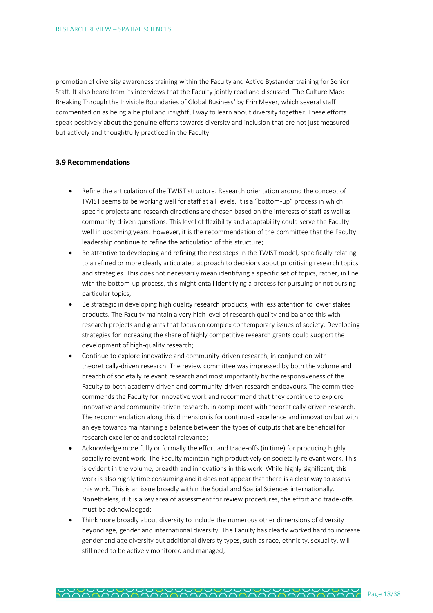promotion of diversity awareness training within the Faculty and Active Bystander training for Senior Staff. It also heard from its interviews that the Faculty jointly read and discussed 'The Culture Map: Breaking Through the Invisible Boundaries of Global Business' by Erin Meyer, which several staff commented on as being a helpful and insightful way to learn about diversity together. These efforts speak positively about the genuine efforts towards diversity and inclusion that are not just measured but actively and thoughtfully practiced in the Faculty.

## <span id="page-17-0"></span>**3.9 Recommendations**

- Refine the articulation of the TWIST structure. Research orientation around the concept of TWIST seems to be working well for staff at all levels. It is a "bottom-up" process in which specific projects and research directions are chosen based on the interests of staff as well as community-driven questions. This level of flexibility and adaptability could serve the Faculty well in upcoming years. However, it is the recommendation of the committee that the Faculty leadership continue to refine the articulation of this structure;
- Be attentive to developing and refining the next steps in the TWIST model, specifically relating to a refined or more clearly articulated approach to decisions about prioritising research topics and strategies. This does not necessarily mean identifying a specific set of topics, rather, in line with the bottom-up process, this might entail identifying a process for pursuing or not pursing particular topics;
- Be strategic in developing high quality research products, with less attention to lower stakes products. The Faculty maintain a very high level of research quality and balance this with research projects and grants that focus on complex contemporary issues of society. Developing strategies for increasing the share of highly competitive research grants could support the development of high-quality research;
- Continue to explore innovative and community-driven research, in conjunction with theoretically-driven research. The review committee was impressed by both the volume and breadth of societally relevant research and most importantly by the responsiveness of the Faculty to both academy-driven and community-driven research endeavours. The committee commends the Faculty for innovative work and recommend that they continue to explore innovative and community-driven research, in compliment with theoretically-driven research. The recommendation along this dimension is for continued excellence and innovation but with an eye towards maintaining a balance between the types of outputs that are beneficial for research excellence and societal relevance;
- Acknowledge more fully or formally the effort and trade-offs (in time) for producing highly socially relevant work. The Faculty maintain high productively on societally relevant work. This is evident in the volume, breadth and innovations in this work. While highly significant, this work is also highly time consuming and it does not appear that there is a clear way to assess this work. This is an issue broadly within the Social and Spatial Sciences internationally. Nonetheless, if it is a key area of assessment for review procedures, the effort and trade-offs must be acknowledged;
- Think more broadly about diversity to include the numerous other dimensions of diversity beyond age, gender and international diversity. The Faculty has clearly worked hard to increase gender and age diversity but additional diversity types, such as race, ethnicity, sexuality, will still need to be actively monitored and managed;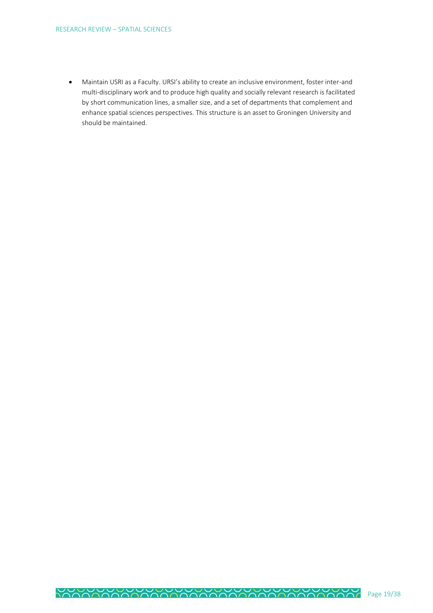• Maintain USRI as a Faculty. URSI's ability to create an inclusive environment, foster inter-and multi-disciplinary work and to produce high quality and socially relevant research is facilitated by short communication lines, a smaller size, and a set of departments that complement and enhance spatial sciences perspectives. This structure is an asset to Groningen University and should be maintained.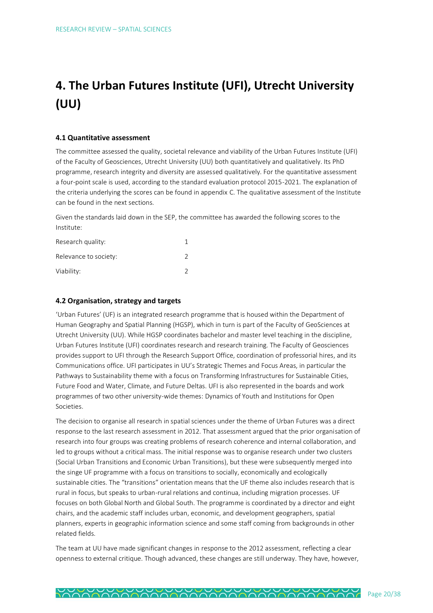# <span id="page-19-0"></span>**4. The Urban Futures Institute (UFI), Utrecht University (UU)**

## <span id="page-19-1"></span>**4.1 Quantitative assessment**

The committee assessed the quality, societal relevance and viability of the Urban Futures Institute (UFI) of the Faculty of Geosciences, Utrecht University (UU) both quantitatively and qualitatively. Its PhD programme, research integrity and diversity are assessed qualitatively. For the quantitative assessment a four-point scale is used, according to the standard evaluation protocol 2015-2021. The explanation of the criteria underlying the scores can be found in appendix C. The qualitative assessment of the Institute can be found in the next sections.

Given the standards laid down in the SEP, the committee has awarded the following scores to the Institute:

| Research quality:     |  |
|-----------------------|--|
| Relevance to society: |  |
| Viability:            |  |

## <span id="page-19-2"></span>**4.2 Organisation, strategy and targets**

'Urban Futures' (UF) is an integrated research programme that is housed within the Department of Human Geography and Spatial Planning (HGSP), which in turn is part of the Faculty of GeoSciences at Utrecht University (UU). While HGSP coordinates bachelor and master level teaching in the discipline, Urban Futures Institute (UFI) coordinates research and research training. The Faculty of Geosciences provides support to UFI through the Research Support Office, coordination of professorial hires, and its Communications office. UFI participates in UU's Strategic Themes and Focus Areas, in particular the Pathways to Sustainability theme with a focus on Transforming Infrastructures for Sustainable Cities, Future Food and Water, Climate, and Future Deltas. UFI is also represented in the boards and work programmes of two other university-wide themes: Dynamics of Youth and Institutions for Open Societies.

The decision to organise all research in spatial sciences under the theme of Urban Futures was a direct response to the last research assessment in 2012. That assessment argued that the prior organisation of research into four groups was creating problems of research coherence and internal collaboration, and led to groups without a critical mass. The initial response was to organise research under two clusters (Social Urban Transitions and Economic Urban Transitions), but these were subsequently merged into the singe UF programme with a focus on transitions to socially, economically and ecologically sustainable cities. The "transitions" orientation means that the UF theme also includes research that is rural in focus, but speaks to urban-rural relations and continua, including migration processes. UF focuses on both Global North and Global South. The programme is coordinated by a director and eight chairs, and the academic staff includes urban, economic, and development geographers, spatial planners, experts in geographic information science and some staff coming from backgrounds in other related fields.

The team at UU have made significant changes in response to the 2012 assessment, reflecting a clear openness to external critique. Though advanced, these changes are still underway. They have, however,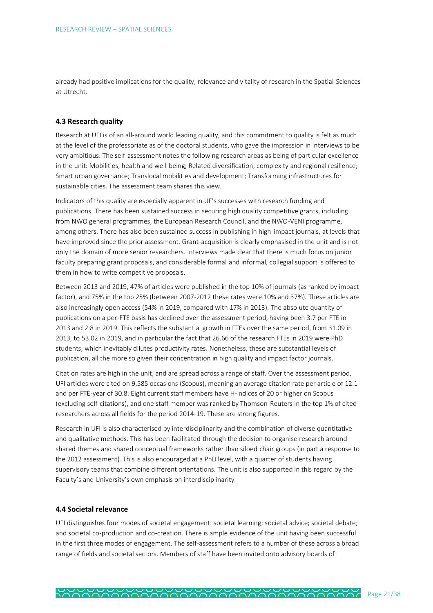already had positive implications for the quality, relevance and vitality of research in the Spatial Sciences at Utrecht.

## <span id="page-20-0"></span>**4.3 Research quality**

Research at UFI is of an all-around world leading quality, and this commitment to quality is felt as much at the level of the professoriate as of the doctoral students, who gave the impression in interviews to be very ambitious. The self-assessment notes the following research areas as being of particular excellence in the unit: Mobilities, health and well-being; Related diversification, complexity and regional resilience; Smart urban governance; Translocal mobilities and development; Transforming infrastructures for sustainable cities. The assessment team shares this view.

Indicators of this quality are especially apparent in UF's successes with research funding and publications. There has been sustained success in securing high quality competitive grants, including from NWO general programmes, the European Research Council, and the NWO-VENI programme, among others. There has also been sustained success in publishing in high-impact journals, at levels that have improved since the prior assessment. Grant-acquisition is clearly emphasised in the unit and is not only the domain of more senior researchers. Interviews made clear that there is much focus on junior faculty preparing grant proposals, and considerable formal and informal, collegial support is offered to them in how to write competitive proposals.

Between 2013 and 2019, 47% of articles were published in the top 10% of journals (as ranked by impact factor), and 75% in the top 25% (between 2007-2012 these rates were 10% and 37%). These articles are also increasingly open access (54% in 2019, compared with 17% in 2013). The absolute quantity of publications on a per-FTE basis has declined over the assessment period, having been 3.7 per FTE in 2013 and 2.8 in 2019. This reflects the substantial growth in FTEs over the same period, from 31.09 in 2013, to 53.02 in 2019, and in particular the fact that 26.66 of the research FTEs in 2019 were PhD students, which inevitably dilutes productivity rates. Nonetheless, these are substantial levels of publication, all the more so given their concentration in high quality and impact factor journals.

Citation rates are high in the unit, and are spread across a range of staff. Over the assessment period, UFI articles were cited on 9,585 occasions (Scopus), meaning an average citation rate per article of 12.1 and per FTE-year of 30.8. Eight current staff members have H-indices of 20 or higher on Scopus (excluding self-citations), and one staff member was ranked by Thomson-Reuters in the top 1% of cited researchers across all fields for the period 2014-19. These are strong figures.

Research in UFI is also characterised by interdisciplinarity and the combination of diverse quantitative and qualitative methods. This has been facilitated through the decision to organise research around shared themes and shared conceptual frameworks rather than siloed chair groups (in part a response to the 2012 assessment). This is also encouraged at a PhD level, with a quarter of students having supervisory teams that combine different orientations. The unit is also supported in this regard by the Faculty's and University's own emphasis on interdisciplinarity.

## <span id="page-20-1"></span>**4.4 Societal relevance**

UFI distinguishes four modes of societal engagement: societal learning; societal advice; societal debate; and societal co-production and co-creation. There is ample evidence of the unit having been successful in the first three modes of engagement. The self-assessment refers to a number of these across a broad range of fields and societal sectors. Members of staff have been invited onto advisory boards of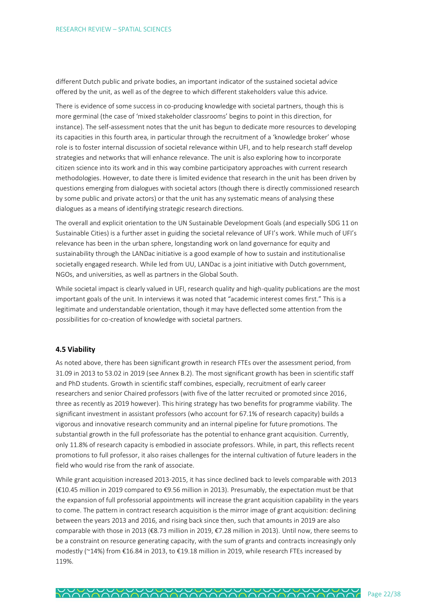different Dutch public and private bodies, an important indicator of the sustained societal advice offered by the unit, as well as of the degree to which different stakeholders value this advice.

There is evidence of some success in co-producing knowledge with societal partners, though this is more germinal (the case of 'mixed stakeholder classrooms' begins to point in this direction, for instance). The self-assessment notes that the unit has begun to dedicate more resources to developing its capacities in this fourth area, in particular through the recruitment of a 'knowledge broker' whose role is to foster internal discussion of societal relevance within UFI, and to help research staff develop strategies and networks that will enhance relevance. The unit is also exploring how to incorporate citizen science into its work and in this way combine participatory approaches with current research methodologies. However, to date there is limited evidence that research in the unit has been driven by questions emerging from dialogues with societal actors (though there is directly commissioned research by some public and private actors) or that the unit has any systematic means of analysing these dialogues as a means of identifying strategic research directions.

The overall and explicit orientation to the UN Sustainable Development Goals (and especially SDG 11 on Sustainable Cities) is a further asset in guiding the societal relevance of UFI's work. While much of UFI's relevance has been in the urban sphere, longstanding work on land governance for equity and sustainability through the LANDac initiative is a good example of how to sustain and institutionalise societally engaged research. While led from UU, LANDac is a joint initiative with Dutch government, NGOs, and universities, as well as partners in the Global South.

While societal impact is clearly valued in UFI, research quality and high-quality publications are the most important goals of the unit. In interviews it was noted that "academic interest comes first." This is a legitimate and understandable orientation, though it may have deflected some attention from the possibilities for co-creation of knowledge with societal partners.

## <span id="page-21-0"></span>**4.5 Viability**

As noted above, there has been significant growth in research FTEs over the assessment period, from 31.09 in 2013 to 53.02 in 2019 (see Annex B.2). The most significant growth has been in scientific staff and PhD students. Growth in scientific staff combines, especially, recruitment of early career researchers and senior Chaired professors (with five of the latter recruited or promoted since 2016, three as recently as 2019 however). This hiring strategy has two benefits for programme viability. The significant investment in assistant professors (who account for 67.1% of research capacity) builds a vigorous and innovative research community and an internal pipeline for future promotions. The substantial growth in the full professoriate has the potential to enhance grant acquisition. Currently, only 11.8% of research capacity is embodied in associate professors. While, in part, this reflects recent promotions to full professor, it also raises challenges for the internal cultivation of future leaders in the field who would rise from the rank of associate.

While grant acquisition increased 2013-2015, it has since declined back to levels comparable with 2013 (€10.45 million in 2019 compared to €9.56 million in 2013). Presumably, the expectation must be that the expansion of full professorial appointments will increase the grant acquisition capability in the years to come. The pattern in contract research acquisition is the mirror image of grant acquisition: declining between the years 2013 and 2016, and rising back since then, such that amounts in 2019 are also comparable with those in 2013 (€8.73 million in 2019, €7.28 million in 2013). Until now, there seems to be a constraint on resource generating capacity, with the sum of grants and contracts increasingly only modestly (~14%) from €16.84 in 2013, to €19.18 million in 2019, while research FTEs increased by 119%.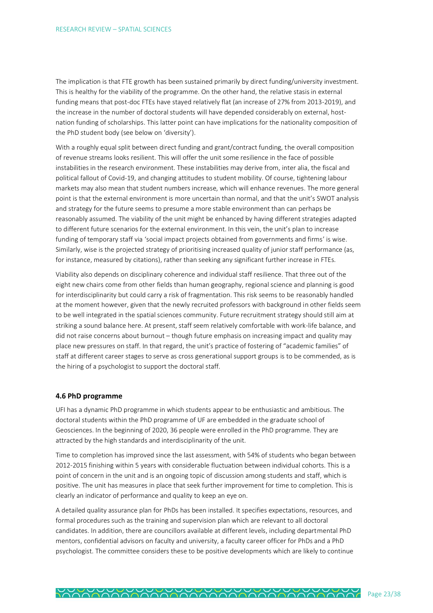The implication is that FTE growth has been sustained primarily by direct funding/university investment. This is healthy for the viability of the programme. On the other hand, the relative stasis in external funding means that post-doc FTEs have stayed relatively flat (an increase of 27% from 2013-2019), and the increase in the number of doctoral students will have depended considerably on external, hostnation funding of scholarships. This latter point can have implications for the nationality composition of the PhD student body (see below on 'diversity').

With a roughly equal split between direct funding and grant/contract funding, the overall composition of revenue streams looks resilient. This will offer the unit some resilience in the face of possible instabilities in the research environment. These instabilities may derive from, inter alia, the fiscal and political fallout of Covid-19, and changing attitudes to student mobility. Of course, tightening labour markets may also mean that student numbers increase, which will enhance revenues. The more general point is that the external environment is more uncertain than normal, and that the unit's SWOT analysis and strategy for the future seems to presume a more stable environment than can perhaps be reasonably assumed. The viability of the unit might be enhanced by having different strategies adapted to different future scenarios for the external environment. In this vein, the unit's plan to increase funding of temporary staff via 'social impact projects obtained from governments and firms' is wise. Similarly, wise is the projected strategy of prioritising increased quality of junior staff performance (as, for instance, measured by citations), rather than seeking any significant further increase in FTEs.

Viability also depends on disciplinary coherence and individual staff resilience. That three out of the eight new chairs come from other fields than human geography, regional science and planning is good for interdisciplinarity but could carry a risk of fragmentation. This risk seems to be reasonably handled at the moment however, given that the newly recruited professors with background in other fields seem to be well integrated in the spatial sciences community. Future recruitment strategy should still aim at striking a sound balance here. At present, staff seem relatively comfortable with work-life balance, and did not raise concerns about burnout – though future emphasis on increasing impact and quality may place new pressures on staff. In that regard, the unit's practice of fostering of "academic families" of staff at different career stages to serve as cross generational support groups is to be commended, as is the hiring of a psychologist to support the doctoral staff.

#### <span id="page-22-0"></span>**4.6 PhD programme**

UFI has a dynamic PhD programme in which students appear to be enthusiastic and ambitious. The doctoral students within the PhD programme of UF are embedded in the graduate school of Geosciences. In the beginning of 2020, 36 people were enrolled in the PhD programme. They are attracted by the high standards and interdisciplinarity of the unit.

Time to completion has improved since the last assessment, with 54% of students who began between 2012-2015 finishing within 5 years with considerable fluctuation between individual cohorts. This is a point of concern in the unit and is an ongoing topic of discussion among students and staff, which is positive. The unit has measures in place that seek further improvement for time to completion. This is clearly an indicator of performance and quality to keep an eye on.

A detailed quality assurance plan for PhDs has been installed. It specifies expectations, resources, and formal procedures such as the training and supervision plan which are relevant to all doctoral candidates. In addition, there are councillors available at different levels, including departmental PhD mentors, confidential advisors on faculty and university, a faculty career officer for PhDs and a PhD psychologist. The committee considers these to be positive developments which are likely to continue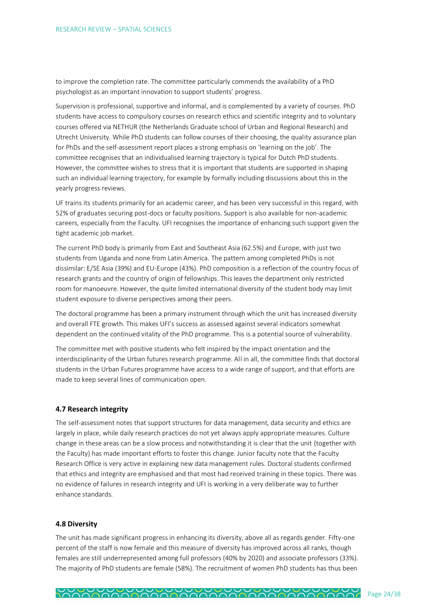to improve the completion rate. The committee particularly commends the availability of a PhD psychologist as an important innovation to support students' progress.

Supervision is professional, supportive and informal, and is complemented by a variety of courses. PhD students have access to compulsory courses on research ethics and scientific integrity and to voluntary courses offered via NETHUR (the Netherlands Graduate school of Urban and Regional Research) and Utrecht University. While PhD students can follow courses of their choosing, the quality assurance plan for PhDs and the self-assessment report places a strong emphasis on 'learning on the job'. The committee recognises that an individualised learning trajectory is typical for Dutch PhD students. However, the committee wishes to stress that it is important that students are supported in shaping such an individual learning trajectory, for example by formally including discussions about this in the yearly progress reviews.

UF trains its students primarily for an academic career, and has been very successful in this regard, with 52% of graduates securing post-docs or faculty positions. Support is also available for non-academic careers, especially from the Faculty. UFI recognises the importance of enhancing such support given the tight academic job market.

The current PhD body is primarily from East and Southeast Asia (62.5%) and Europe, with just two students from Uganda and none from Latin America. The pattern among completed PhDs is not dissimilar: E/SE Asia (39%) and EU-Europe (43%). PhD composition is a reflection of the country focus of research grants and the country of origin of fellowships. This leaves the department only restricted room for manoeuvre. However, the quite limited international diversity of the student body may limit student exposure to diverse perspectives among their peers.

The doctoral programme has been a primary instrument through which the unit has increased diversity and overall FTE growth. This makes UFI's success as assessed against several indicators somewhat dependent on the continued vitality of the PhD programme. This is a potential source of vulnerability.

The committee met with positive students who felt inspired by the impact orientation and the interdisciplinarity of the Urban futures research programme. All in all, the committee finds that doctoral students in the Urban Futures programme have access to a wide range of support, and that efforts are made to keep several lines of communication open.

## <span id="page-23-0"></span>**4.7 Research integrity**

The self-assessment notes that support structures for data management, data security and ethics are largely in place, while daily research practices do not yet always apply appropriate measures. Culture change in these areas can be a slow process and notwithstanding it is clear that the unit (together with the Faculty) has made important efforts to foster this change. Junior faculty note that the Faculty Research Office is very active in explaining new data management rules. Doctoral students confirmed that ethics and integrity are emphasised and that most had received training in these topics. There was no evidence of failures in research integrity and UFI is working in a very deliberate way to further enhance standards.

#### <span id="page-23-1"></span>**4.8 Diversity**

The unit has made significant progress in enhancing its diversity, above all as regards gender. Fifty-one percent of the staff is now female and this measure of diversity has improved across all ranks, though females are still underrepresented among full professors (40% by 2020) and associate professors (33%). The majority of PhD students are female (58%). The recruitment of women PhD students has thus been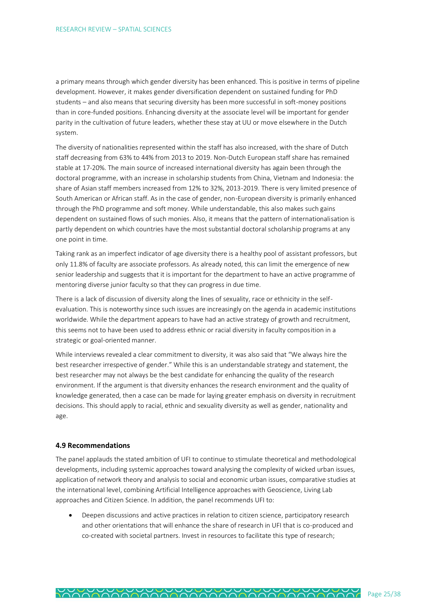a primary means through which gender diversity has been enhanced. This is positive in terms of pipeline development. However, it makes gender diversification dependent on sustained funding for PhD students – and also means that securing diversity has been more successful in soft-money positions than in core-funded positions. Enhancing diversity at the associate level will be important for gender parity in the cultivation of future leaders, whether these stay at UU or move elsewhere in the Dutch system.

The diversity of nationalities represented within the staff has also increased, with the share of Dutch staff decreasing from 63% to 44% from 2013 to 2019. Non-Dutch European staff share has remained stable at 17-20%. The main source of increased international diversity has again been through the doctoral programme, with an increase in scholarship students from China, Vietnam and Indonesia: the share of Asian staff members increased from 12% to 32%, 2013-2019. There is very limited presence of South American or African staff. As in the case of gender, non-European diversity is primarily enhanced through the PhD programme and soft money. While understandable, this also makes such gains dependent on sustained flows of such monies. Also, it means that the pattern of internationalisation is partly dependent on which countries have the most substantial doctoral scholarship programs at any one point in time.

Taking rank as an imperfect indicator of age diversity there is a healthy pool of assistant professors, but only 11.8% of faculty are associate professors. As already noted, this can limit the emergence of new senior leadership and suggests that it is important for the department to have an active programme of mentoring diverse junior faculty so that they can progress in due time.

There is a lack of discussion of diversity along the lines of sexuality, race or ethnicity in the selfevaluation. This is noteworthy since such issues are increasingly on the agenda in academic institutions worldwide. While the department appears to have had an active strategy of growth and recruitment, this seems not to have been used to address ethnic or racial diversity in faculty composition in a strategic or goal-oriented manner.

While interviews revealed a clear commitment to diversity, it was also said that "We always hire the best researcher irrespective of gender." While this is an understandable strategy and statement, the best researcher may not always be the best candidate for enhancing the quality of the research environment. If the argument is that diversity enhances the research environment and the quality of knowledge generated, then a case can be made for laying greater emphasis on diversity in recruitment decisions. This should apply to racial, ethnic and sexuality diversity as well as gender, nationality and age.

## <span id="page-24-0"></span>**4.9 Recommendations**

The panel applauds the stated ambition of UFI to continue to stimulate theoretical and methodological developments, including systemic approaches toward analysing the complexity of wicked urban issues, application of network theory and analysis to social and economic urban issues, comparative studies at the international level, combining Artificial Intelligence approaches with Geoscience, Living Lab approaches and Citizen Science. In addition, the panel recommends UFI to:

• Deepen discussions and active practices in relation to citizen science, participatory research and other orientations that will enhance the share of research in UFI that is co-produced and co-created with societal partners. Invest in resources to facilitate this type of research;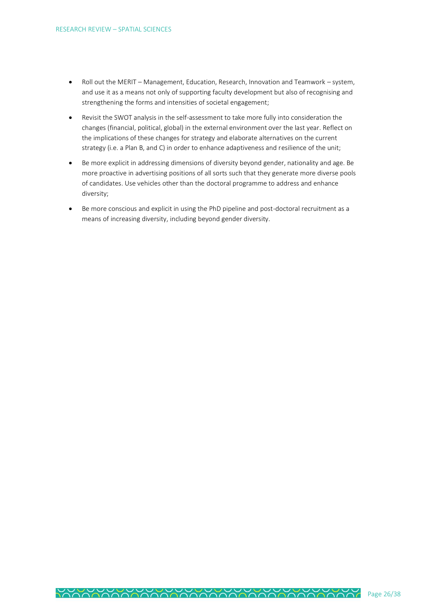- Roll out the MERIT Management, Education, Research, Innovation and Teamwork system, and use it as a means not only of supporting faculty development but also of recognising and strengthening the forms and intensities of societal engagement;
- Revisit the SWOT analysis in the self-assessment to take more fully into consideration the changes (financial, political, global) in the external environment over the last year. Reflect on the implications of these changes for strategy and elaborate alternatives on the current strategy (i.e. a Plan B, and C) in order to enhance adaptiveness and resilience of the unit;
- Be more explicit in addressing dimensions of diversity beyond gender, nationality and age. Be more proactive in advertising positions of all sorts such that they generate more diverse pools of candidates. Use vehicles other than the doctoral programme to address and enhance diversity;
- Be more conscious and explicit in using the PhD pipeline and post-doctoral recruitment as a means of increasing diversity, including beyond gender diversity.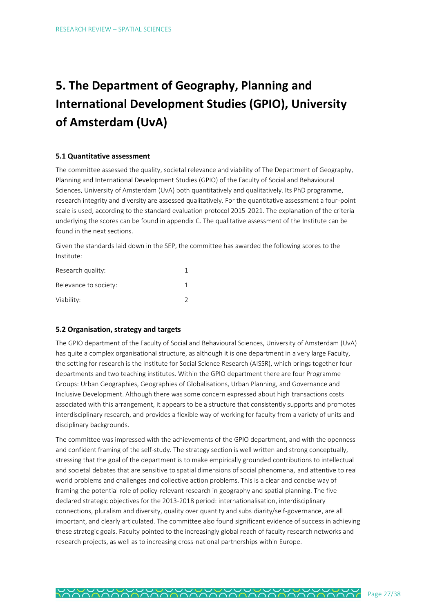# <span id="page-26-0"></span>**5. The Department of Geography, Planning and International Development Studies (GPIO), University of Amsterdam (UvA)**

## <span id="page-26-1"></span>**5.1 Quantitative assessment**

The committee assessed the quality, societal relevance and viability of The Department of Geography, Planning and International Development Studies (GPIO) of the Faculty of Social and Behavioural Sciences, University of Amsterdam (UvA) both quantitatively and qualitatively. Its PhD programme, research integrity and diversity are assessed qualitatively. For the quantitative assessment a four-point scale is used, according to the standard evaluation protocol 2015-2021. The explanation of the criteria underlying the scores can be found in appendix C. The qualitative assessment of the Institute can be found in the next sections.

Given the standards laid down in the SEP, the committee has awarded the following scores to the Institute:

| Research quality:     |  |
|-----------------------|--|
| Relevance to society: |  |
| Viability:            |  |

## <span id="page-26-2"></span>**5.2 Organisation, strategy and targets**

The GPIO department of the Faculty of Social and Behavioural Sciences, University of Amsterdam (UvA) has quite a complex organisational structure, as although it is one department in a very large Faculty, the setting for research is the Institute for Social Science Research (AISSR), which brings together four departments and two teaching institutes. Within the GPIO department there are four Programme Groups: Urban Geographies, Geographies of Globalisations, Urban Planning, and Governance and Inclusive Development. Although there was some concern expressed about high transactions costs associated with this arrangement, it appears to be a structure that consistently supports and promotes interdisciplinary research, and provides a flexible way of working for faculty from a variety of units and disciplinary backgrounds.

The committee was impressed with the achievements of the GPIO department, and with the openness and confident framing of the self-study. The strategy section is well written and strong conceptually, stressing that the goal of the department is to make empirically grounded contributions to intellectual and societal debates that are sensitive to spatial dimensions of social phenomena, and attentive to real world problems and challenges and collective action problems. This is a clear and concise way of framing the potential role of policy-relevant research in geography and spatial planning. The five declared strategic objectives for the 2013-2018 period: internationalisation, interdisciplinary connections, pluralism and diversity, quality over quantity and subsidiarity/self-governance, are all important, and clearly articulated. The committee also found significant evidence of success in achieving these strategic goals. Faculty pointed to the increasingly global reach of faculty research networks and research projects, as well as to increasing cross-national partnerships within Europe.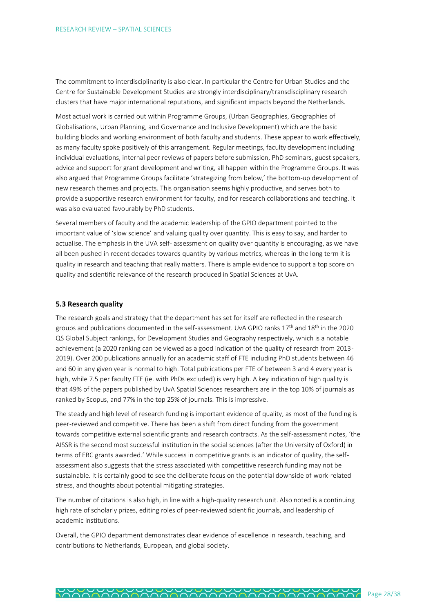The commitment to interdisciplinarity is also clear. In particular the Centre for Urban Studies and the Centre for Sustainable Development Studies are strongly interdisciplinary/transdisciplinary research clusters that have major international reputations, and significant impacts beyond the Netherlands.

Most actual work is carried out within Programme Groups, (Urban Geographies, Geographies of Globalisations, Urban Planning, and Governance and Inclusive Development) which are the basic building blocks and working environment of both faculty and students. These appear to work effectively, as many faculty spoke positively of this arrangement. Regular meetings, faculty development including individual evaluations, internal peer reviews of papers before submission, PhD seminars, guest speakers, advice and support for grant development and writing, all happen within the Programme Groups. It was also argued that Programme Groups facilitate 'strategizing from below,' the bottom-up development of new research themes and projects. This organisation seems highly productive, and serves both to provide a supportive research environment for faculty, and for research collaborations and teaching. It was also evaluated favourably by PhD students.

Several members of faculty and the academic leadership of the GPIO department pointed to the important value of 'slow science' and valuing quality over quantity. This is easy to say, and harder to actualise. The emphasis in the UVA self- assessment on quality over quantity is encouraging, as we have all been pushed in recent decades towards quantity by various metrics, whereas in the long term it is quality in research and teaching that really matters. There is ample evidence to support a top score on quality and scientific relevance of the research produced in Spatial Sciences at UvA.

## <span id="page-27-0"></span>**5.3 Research quality**

The research goals and strategy that the department has set for itself are reflected in the research groups and publications documented in the self-assessment. UvA GPIO ranks 17<sup>th</sup> and 18<sup>th</sup> in the 2020 QS Global Subject rankings, for Development Studies and Geography respectively, which is a notable achievement (a 2020 ranking can be viewed as a good indication of the quality of research from 2013- 2019). Over 200 publications annually for an academic staff of FTE including PhD students between 46 and 60 in any given year is normal to high. Total publications per FTE of between 3 and 4 every year is high, while 7.5 per faculty FTE (ie. with PhDs excluded) is very high. A key indication of high quality is that 49% of the papers published by UvA Spatial Sciences researchers are in the top 10% of journals as ranked by Scopus, and 77% in the top 25% of journals. This is impressive.

The steady and high level of research funding is important evidence of quality, as most of the funding is peer-reviewed and competitive. There has been a shift from direct funding from the government towards competitive external scientific grants and research contracts. As the self-assessment notes, 'the AISSR is the second most successful institution in the social sciences (after the University of Oxford) in terms of ERC grants awarded.' While success in competitive grants is an indicator of quality, the selfassessment also suggests that the stress associated with competitive research funding may not be sustainable. It is certainly good to see the deliberate focus on the potential downside of work-related stress, and thoughts about potential mitigating strategies.

The number of citations is also high, in line with a high-quality research unit. Also noted is a continuing high rate of scholarly prizes, editing roles of peer-reviewed scientific journals, and leadership of academic institutions.

Overall, the GPIO department demonstrates clear evidence of excellence in research, teaching, and contributions to Netherlands, European, and global society.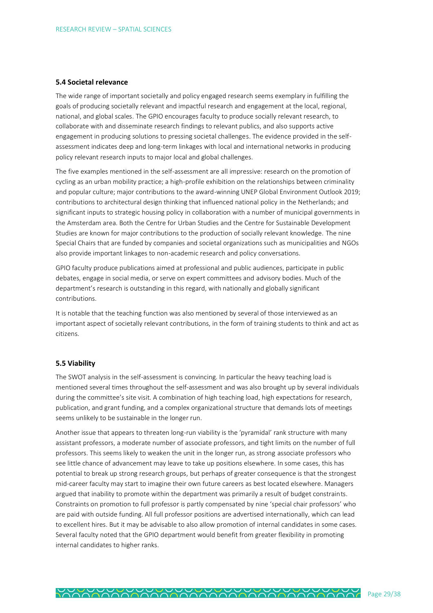#### <span id="page-28-0"></span>**5.4 Societal relevance**

The wide range of important societally and policy engaged research seems exemplary in fulfilling the goals of producing societally relevant and impactful research and engagement at the local, regional, national, and global scales. The GPIO encourages faculty to produce socially relevant research, to collaborate with and disseminate research findings to relevant publics, and also supports active engagement in producing solutions to pressing societal challenges. The evidence provided in the selfassessment indicates deep and long-term linkages with local and international networks in producing policy relevant research inputs to major local and global challenges.

The five examples mentioned in the self-assessment are all impressive: research on the promotion of cycling as an urban mobility practice; a high-profile exhibition on the relationships between criminality and popular culture; major contributions to the award-winning UNEP Global Environment Outlook 2019; contributions to architectural design thinking that influenced national policy in the Netherlands; and significant inputs to strategic housing policy in collaboration with a number of municipal governments in the Amsterdam area. Both the Centre for Urban Studies and the Centre for Sustainable Development Studies are known for major contributions to the production of socially relevant knowledge. The nine Special Chairs that are funded by companies and societal organizations such as municipalities and NGOs also provide important linkages to non-academic research and policy conversations.

GPIO faculty produce publications aimed at professional and public audiences, participate in public debates, engage in social media, or serve on expert committees and advisory bodies. Much of the department's research is outstanding in this regard, with nationally and globally significant contributions.

It is notable that the teaching function was also mentioned by several of those interviewed as an important aspect of societally relevant contributions, in the form of training students to think and act as citizens.

## <span id="page-28-1"></span>**5.5 Viability**

The SWOT analysis in the self-assessment is convincing. In particular the heavy teaching load is mentioned several times throughout the self-assessment and was also brought up by several individuals during the committee's site visit. A combination of high teaching load, high expectations for research, publication, and grant funding, and a complex organizational structure that demands lots of meetings seems unlikely to be sustainable in the longer run.

Another issue that appears to threaten long-run viability is the 'pyramidal' rank structure with many assistant professors, a moderate number of associate professors, and tight limits on the number of full professors. This seems likely to weaken the unit in the longer run, as strong associate professors who see little chance of advancement may leave to take up positions elsewhere. In some cases, this has potential to break up strong research groups, but perhaps of greater consequence is that the strongest mid-career faculty may start to imagine their own future careers as best located elsewhere. Managers argued that inability to promote within the department was primarily a result of budget constraints. Constraints on promotion to full professor is partly compensated by nine 'special chair professors' who are paid with outside funding. All full professor positions are advertised internationally, which can lead to excellent hires. But it may be advisable to also allow promotion of internal candidates in some cases. Several faculty noted that the GPIO department would benefit from greater flexibility in promoting internal candidates to higher ranks.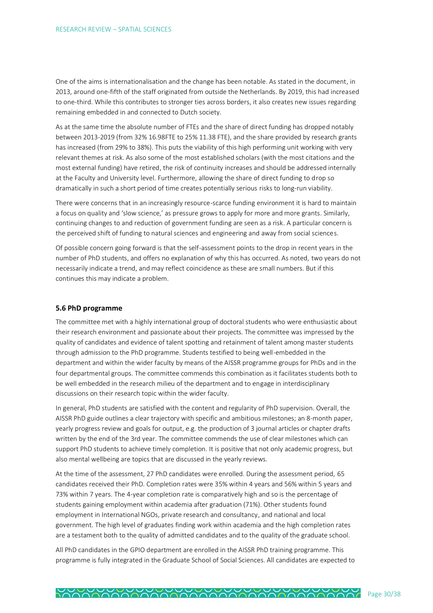One of the aims is internationalisation and the change has been notable. As stated in the document, in 2013, around one-fifth of the staff originated from outside the Netherlands. By 2019, this had increased to one-third. While this contributes to stronger ties across borders, it also creates new issues regarding remaining embedded in and connected to Dutch society.

As at the same time the absolute number of FTEs and the share of direct funding has dropped notably between 2013-2019 (from 32% 16.98FTE to 25% 11.38 FTE), and the share provided by research grants has increased (from 29% to 38%). This puts the viability of this high performing unit working with very relevant themes at risk. As also some of the most established scholars (with the most citations and the most external funding) have retired, the risk of continuity increases and should be addressed internally at the Faculty and University level. Furthermore, allowing the share of direct funding to drop so dramatically in such a short period of time creates potentially serious risks to long-run viability.

There were concerns that in an increasingly resource-scarce funding environment it is hard to maintain a focus on quality and 'slow science,' as pressure grows to apply for more and more grants. Similarly, continuing changes to and reduction of government funding are seen as a risk. A particular concern is the perceived shift of funding to natural sciences and engineering and away from social sciences.

Of possible concern going forward is that the self-assessment points to the drop in recent years in the number of PhD students, and offers no explanation of why this has occurred. As noted, two years do not necessarily indicate a trend, and may reflect coincidence as these are small numbers. But if this continues this may indicate a problem.

## <span id="page-29-0"></span>**5.6 PhD programme**

The committee met with a highly international group of doctoral students who were enthusiastic about their research environment and passionate about their projects. The committee was impressed by the quality of candidates and evidence of talent spotting and retainment of talent among master students through admission to the PhD programme. Students testified to being well-embedded in the department and within the wider faculty by means of the AISSR programme groups for PhDs and in the four departmental groups. The committee commends this combination as it facilitates students both to be well embedded in the research milieu of the department and to engage in interdisciplinary discussions on their research topic within the wider faculty.

In general, PhD students are satisfied with the content and regularity of PhD supervision. Overall, the AISSR PhD guide outlines a clear trajectory with specific and ambitious milestones; an 8-month paper, yearly progress review and goals for output, e.g. the production of 3 journal articles or chapter drafts written by the end of the 3rd year. The committee commends the use of clear milestones which can support PhD students to achieve timely completion. It is positive that not only academic progress, but also mental wellbeing are topics that are discussed in the yearly reviews.

At the time of the assessment, 27 PhD candidates were enrolled. During the assessment period, 65 candidates received their PhD. Completion rates were 35% within 4 years and 56% within 5 years and 73% within 7 years. The 4-year completion rate is comparatively high and so is the percentage of students gaining employment within academia after graduation (71%). Other students found employment in International NGOs, private research and consultancy, and national and local government. The high level of graduates finding work within academia and the high completion rates are a testament both to the quality of admitted candidates and to the quality of the graduate school.

All PhD candidates in the GPIO department are enrolled in the AISSR PhD training programme. This programme is fully integrated in the Graduate School of Social Sciences. All candidates are expected to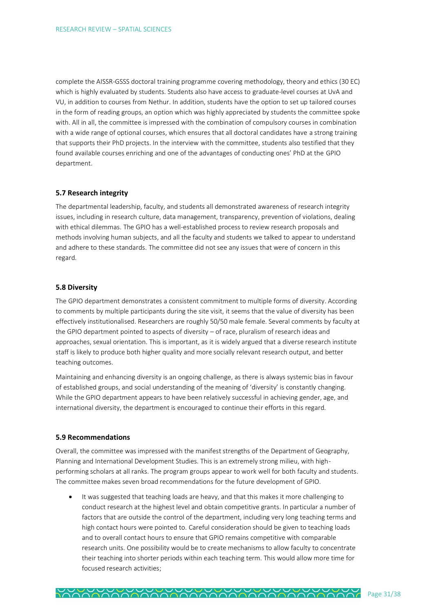complete the AISSR-GSSS doctoral training programme covering methodology, theory and ethics (30 EC) which is highly evaluated by students. Students also have access to graduate-level courses at UvA and VU, in addition to courses from Nethur. In addition, students have the option to set up tailored courses in the form of reading groups, an option which was highly appreciated by students the committee spoke with. All in all, the committee is impressed with the combination of compulsory courses in combination with a wide range of optional courses, which ensures that all doctoral candidates have a strong training that supports their PhD projects. In the interview with the committee, students also testified that they found available courses enriching and one of the advantages of conducting ones' PhD at the GPIO department.

## <span id="page-30-0"></span>**5.7 Research integrity**

The departmental leadership, faculty, and students all demonstrated awareness of research integrity issues, including in research culture, data management, transparency, prevention of violations, dealing with ethical dilemmas. The GPIO has a well-established process to review research proposals and methods involving human subjects, and all the faculty and students we talked to appear to understand and adhere to these standards. The committee did not see any issues that were of concern in this regard.

## <span id="page-30-1"></span>**5.8 Diversity**

The GPIO department demonstrates a consistent commitment to multiple forms of diversity. According to comments by multiple participants during the site visit, it seems that the value of diversity has been effectively institutionalised. Researchers are roughly 50/50 male female. Several comments by faculty at the GPIO department pointed to aspects of diversity – of race, pluralism of research ideas and approaches, sexual orientation. This is important, as it is widely argued that a diverse research institute staff is likely to produce both higher quality and more socially relevant research output, and better teaching outcomes.

Maintaining and enhancing diversity is an ongoing challenge, as there is always systemic bias in favour of established groups, and social understanding of the meaning of 'diversity' is constantly changing. While the GPIO department appears to have been relatively successful in achieving gender, age, and international diversity, the department is encouraged to continue their efforts in this regard.

## <span id="page-30-2"></span>**5.9 Recommendations**

Overall, the committee was impressed with the manifest strengths of the Department of Geography, Planning and International Development Studies. This is an extremely strong milieu, with highperforming scholars at all ranks. The program groups appear to work well for both faculty and students. The committee makes seven broad recommendations for the future development of GPIO.

• It was suggested that teaching loads are heavy, and that this makes it more challenging to conduct research at the highest level and obtain competitive grants. In particular a number of factors that are outside the control of the department, including very long teaching terms and high contact hours were pointed to. Careful consideration should be given to teaching loads and to overall contact hours to ensure that GPIO remains competitive with comparable research units. One possibility would be to create mechanisms to allow faculty to concentrate their teaching into shorter periods within each teaching term. This would allow more time for focused research activities;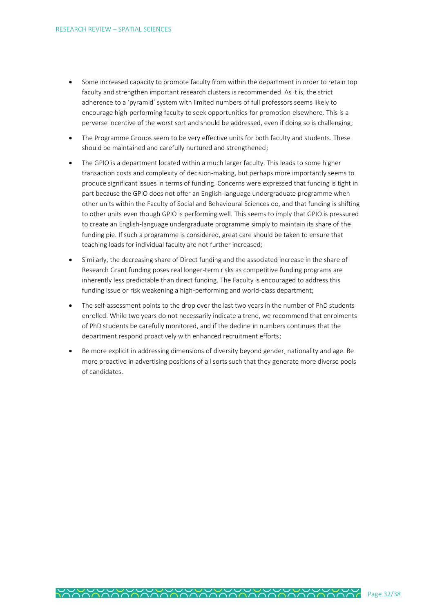- Some increased capacity to promote faculty from within the department in order to retain top faculty and strengthen important research clusters is recommended. As it is, the strict adherence to a 'pyramid' system with limited numbers of full professors seems likely to encourage high-performing faculty to seek opportunities for promotion elsewhere. This is a perverse incentive of the worst sort and should be addressed, even if doing so is challenging;
- The Programme Groups seem to be very effective units for both faculty and students. These should be maintained and carefully nurtured and strengthened;
- The GPIO is a department located within a much larger faculty. This leads to some higher transaction costs and complexity of decision-making, but perhaps more importantly seems to produce significant issues in terms of funding. Concerns were expressed that funding is tight in part because the GPIO does not offer an English-language undergraduate programme when other units within the Faculty of Social and Behavioural Sciences do, and that funding is shifting to other units even though GPIO is performing well. This seems to imply that GPIO is pressured to create an English-language undergraduate programme simply to maintain its share of the funding pie. If such a programme is considered, great care should be taken to ensure that teaching loads for individual faculty are not further increased;
- Similarly, the decreasing share of Direct funding and the associated increase in the share of Research Grant funding poses real longer-term risks as competitive funding programs are inherently less predictable than direct funding. The Faculty is encouraged to address this funding issue or risk weakening a high-performing and world-class department;
- The self-assessment points to the drop over the last two years in the number of PhD students enrolled. While two years do not necessarily indicate a trend, we recommend that enrolments of PhD students be carefully monitored, and if the decline in numbers continues that the department respond proactively with enhanced recruitment efforts;
- Be more explicit in addressing dimensions of diversity beyond gender, nationality and age. Be more proactive in advertising positions of all sorts such that they generate more diverse pools of candidates.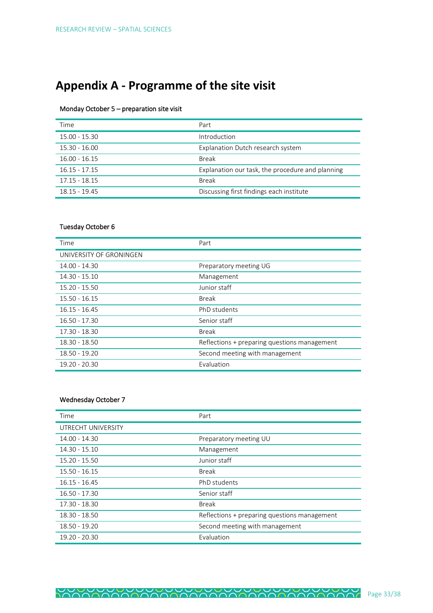## <span id="page-32-0"></span>**Appendix A - Programme of the site visit**

## Monday October 5 – preparation site visit

| Time            | Part                                             |
|-----------------|--------------------------------------------------|
| $15.00 - 15.30$ | Introduction                                     |
| 15.30 - 16.00   | Explanation Dutch research system                |
| $16.00 - 16.15$ | <b>Break</b>                                     |
| $16.15 - 17.15$ | Explanation our task, the procedure and planning |
| $17.15 - 18.15$ | <b>Break</b>                                     |
| 18.15 - 19.45   | Discussing first findings each institute         |

## Tuesday October 6

| Time                    | Part                                         |
|-------------------------|----------------------------------------------|
| UNIVERSITY OF GRONINGEN |                                              |
| $14.00 - 14.30$         | Preparatory meeting UG                       |
| $14.30 - 15.10$         | Management                                   |
| $15.20 - 15.50$         | Junior staff                                 |
| $15.50 - 16.15$         | <b>Break</b>                                 |
| $16.15 - 16.45$         | PhD students                                 |
| $16.50 - 17.30$         | Senior staff                                 |
| 17.30 - 18.30           | <b>Break</b>                                 |
| 18.30 - 18.50           | Reflections + preparing questions management |
| 18.50 - 19.20           | Second meeting with management               |
| 19.20 - 20.30           | Evaluation                                   |

## Wednesday October 7

| Time               | Part                                         |
|--------------------|----------------------------------------------|
| UTRECHT UNIVERSITY |                                              |
| 14.00 - 14.30      | Preparatory meeting UU                       |
| 14.30 - 15.10      | Management                                   |
| 15.20 - 15.50      | Junior staff                                 |
| $15.50 - 16.15$    | <b>Break</b>                                 |
| $16.15 - 16.45$    | PhD students                                 |
| 16.50 - 17.30      | Senior staff                                 |
| 17.30 - 18.30      | <b>Break</b>                                 |
| 18.30 - 18.50      | Reflections + preparing questions management |
| 18.50 - 19.20      | Second meeting with management               |
| $19.20 - 20.30$    | Evaluation                                   |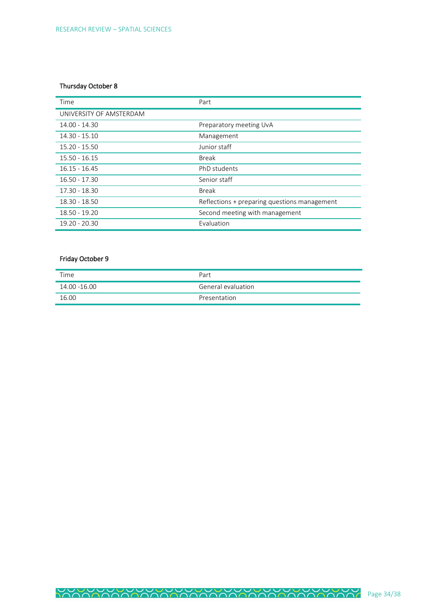## Thursday October 8

| Time                    | Part                                         |
|-------------------------|----------------------------------------------|
| UNIVERSITY OF AMSTERDAM |                                              |
| 14.00 - 14.30           | Preparatory meeting UvA                      |
| 14.30 - 15.10           | Management                                   |
| $15.20 - 15.50$         | Junior staff                                 |
| $15.50 - 16.15$         | <b>Break</b>                                 |
| $16.15 - 16.45$         | PhD students                                 |
| $16.50 - 17.30$         | Senior staff                                 |
| 17.30 - 18.30           | <b>Break</b>                                 |
| 18.30 - 18.50           | Reflections + preparing questions management |
| 18.50 - 19.20           | Second meeting with management               |
| $19.20 - 20.30$         | Evaluation                                   |

## Friday October 9

| Time         | Part               |
|--------------|--------------------|
| 14.00 -16.00 | General evaluation |
| 16.00        | Presentation       |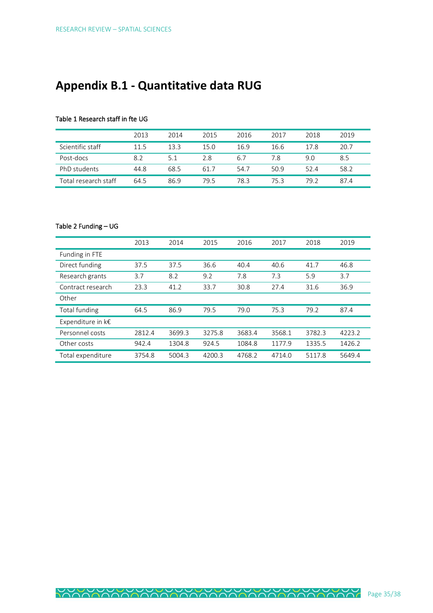## <span id="page-34-0"></span>**Appendix B.1 - Quantitative data RUG**

## Table 1 Research staff in fte UG

|                      | 2013 | 2014 | 2015 | 2016 | 2017 | 2018 | 2019 |
|----------------------|------|------|------|------|------|------|------|
| Scientific staff     | 11.5 | 13.3 | 15.0 | 16.9 | 16.6 | 17.8 | 20.7 |
| Post-docs            | 8.2  | 5.1  | 2.8  | 6.7  | 7.8  | 9.0  | 8.5  |
| PhD students         | 44.8 | 68.5 | 61.7 | 54.7 | 50.9 | 52.4 | 58.2 |
| Fotal research staff | 64.5 | 86.9 | 79.5 | 78.3 | 75.3 | 79.2 | 87.4 |

## Table 2 Funding – UG

|                        | 2013   | 2014   | 2015   | 2016   | 2017   | 2018   | 2019   |
|------------------------|--------|--------|--------|--------|--------|--------|--------|
| Funding in FTE         |        |        |        |        |        |        |        |
| Direct funding         | 37.5   | 37.5   | 36.6   | 40.4   | 40.6   | 41.7   | 46.8   |
| Research grants        | 3.7    | 8.2    | 9.2    | 7.8    | 7.3    | 5.9    | 3.7    |
| Contract research      | 23.3   | 41.2   | 33.7   | 30.8   | 27.4   | 31.6   | 36.9   |
| Other                  |        |        |        |        |        |        |        |
| <b>Total funding</b>   | 64.5   | 86.9   | 79.5   | 79.0   | 75.3   | 79.2   | 87.4   |
| Expenditure in $k \in$ |        |        |        |        |        |        |        |
| Personnel costs        | 2812.4 | 3699.3 | 3275.8 | 3683.4 | 3568.1 | 3782.3 | 4223.2 |
| Other costs            | 942.4  | 1304.8 | 924.5  | 1084.8 | 1177.9 | 1335.5 | 1426.2 |
| Total expenditure      | 3754.8 | 5004.3 | 4200.3 | 4768.2 | 4714.0 | 5117.8 | 5649.4 |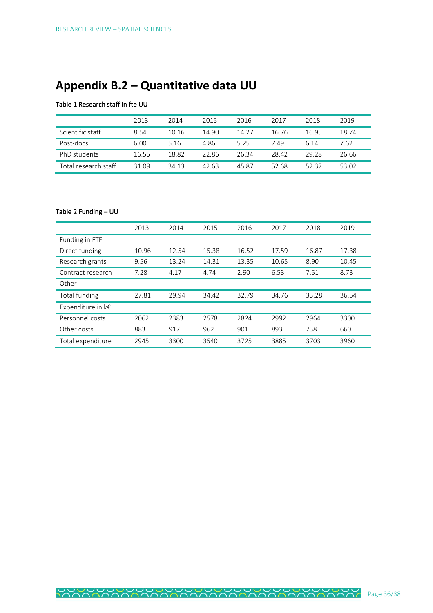## <span id="page-35-0"></span>**Appendix B.2 – Quantitative data UU**

## Table 1 Research staff in fte UU

|                      | 2013  | 2014  | 2015  | 2016  | 2017  | 2018  | 2019  |
|----------------------|-------|-------|-------|-------|-------|-------|-------|
| Scientific staff     | 8.54  | 10.16 | 14.90 | 14.27 | 16.76 | 16.95 | 18.74 |
| Post-docs            | 6.00  | 5.16  | 4.86  | 5.25  | 7.49  | 6.14  | 7.62  |
| PhD students         | 16.55 | 18.82 | 22.86 | 26.34 | 28.42 | 29.28 | 26.66 |
| Total research staff | 31.09 | 34.13 | 42.63 | 45.87 | 52.68 | 52.37 | 53.02 |

## Table 2 Funding – UU

|                        | 2013                     | 2014              | 2015              | 2016                     | 2017                     | 2018  | 2019  |
|------------------------|--------------------------|-------------------|-------------------|--------------------------|--------------------------|-------|-------|
| Funding in FTE         |                          |                   |                   |                          |                          |       |       |
| Direct funding         | 10.96                    | 12.54             | 15.38             | 16.52                    | 17.59                    | 16.87 | 17.38 |
| Research grants        | 9.56                     | 13.24             | 14.31             | 13.35                    | 10.65                    | 8.90  | 10.45 |
| Contract research      | 7.28                     | 4.17              | 4.74              | 2.90                     | 6.53                     | 7.51  | 8.73  |
| Other                  | $\overline{\phantom{a}}$ | $\qquad \qquad -$ | $\qquad \qquad -$ | $\overline{\phantom{a}}$ | $\overline{\phantom{a}}$ |       |       |
| Total funding          | 27.81                    | 29.94             | 34.42             | 32.79                    | 34.76                    | 33.28 | 36.54 |
| Expenditure in $k \in$ |                          |                   |                   |                          |                          |       |       |
| Personnel costs        | 2062                     | 2383              | 2578              | 2824                     | 2992                     | 2964  | 3300  |
| Other costs            | 883                      | 917               | 962               | 901                      | 893                      | 738   | 660   |
| Total expenditure      | 2945                     | 3300              | 3540              | 3725                     | 3885                     | 3703  | 3960  |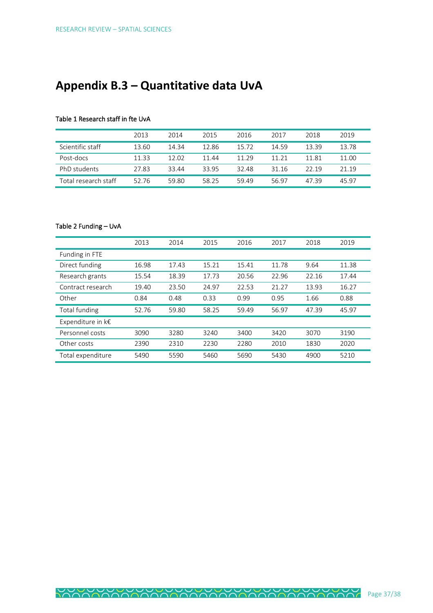## <span id="page-36-0"></span>**Appendix B.3 – Quantitative data UvA**

## Table 1 Research staff in fte UvA

|                      | 2013  | 2014  | 2015  | 2016  | 2017  | 2018  | 2019  |
|----------------------|-------|-------|-------|-------|-------|-------|-------|
| Scientific staff     | 13.60 | 14.34 | 12.86 | 15.72 | 14.59 | 13 39 | 13.78 |
| Post-docs            | 11 33 | 12.02 | 11.44 | 11 29 | 11 21 | 11 81 | 11.00 |
| PhD students         | 27.83 | 33.44 | 3395  | 32.48 | 31.16 | 22 19 | 21 19 |
| Total research staff | 52.76 | 59.80 | 58.25 | 59.49 | 56.97 | 47 39 | 45 97 |

## Table 2 Funding – UvA

|                      | 2013  | 2014  | 2015  | 2016  | 2017  | 2018  | 2019  |
|----------------------|-------|-------|-------|-------|-------|-------|-------|
| Funding in FTE       |       |       |       |       |       |       |       |
| Direct funding       | 16.98 | 17.43 | 15.21 | 15.41 | 11.78 | 9.64  | 11.38 |
| Research grants      | 15.54 | 18.39 | 17.73 | 20.56 | 22.96 | 22.16 | 17.44 |
| Contract research    | 19.40 | 23.50 | 24.97 | 22.53 | 21.27 | 13.93 | 16.27 |
| Other                | 0.84  | 0.48  | 0.33  | 0.99  | 0.95  | 1.66  | 0.88  |
| <b>Total funding</b> | 52.76 | 59.80 | 58.25 | 59.49 | 56.97 | 47.39 | 45.97 |
| Expenditure in k€    |       |       |       |       |       |       |       |
| Personnel costs      | 3090  | 3280  | 3240  | 3400  | 3420  | 3070  | 3190  |
| Other costs          | 2390  | 2310  | 2230  | 2280  | 2010  | 1830  | 2020  |
| Total expenditure    | 5490  | 5590  | 5460  | 5690  | 5430  | 4900  | 5210  |